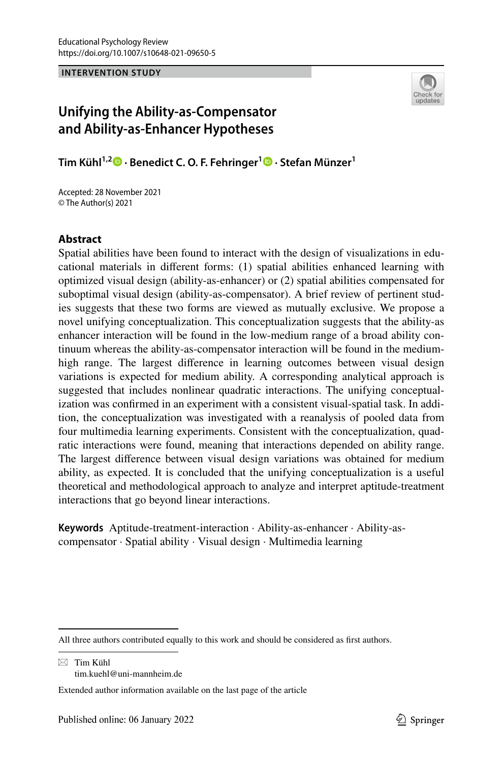#### **INTERVENTION STUDY**



# **Unifying the Ability-as-Compensator and Ability-as-Enhancer Hypotheses**

**Tim Kühl1,2  [·](http://orcid.org/0000-0001-5557-8238) Benedict C. O. F. Fehringer1 · Stefan Münzer1**

Accepted: 28 November 2021 © The Author(s) 2021

### **Abstract**

Spatial abilities have been found to interact with the design of visualizations in educational materials in diferent forms: (1) spatial abilities enhanced learning with optimized visual design (ability-as-enhancer) or (2) spatial abilities compensated for suboptimal visual design (ability-as-compensator). A brief review of pertinent studies suggests that these two forms are viewed as mutually exclusive. We propose a novel unifying conceptualization. This conceptualization suggests that the ability-as enhancer interaction will be found in the low-medium range of a broad ability continuum whereas the ability-as-compensator interaction will be found in the mediumhigh range. The largest diference in learning outcomes between visual design variations is expected for medium ability. A corresponding analytical approach is suggested that includes nonlinear quadratic interactions. The unifying conceptualization was confrmed in an experiment with a consistent visual-spatial task. In addition, the conceptualization was investigated with a reanalysis of pooled data from four multimedia learning experiments. Consistent with the conceptualization, quadratic interactions were found, meaning that interactions depended on ability range. The largest diference between visual design variations was obtained for medium ability, as expected. It is concluded that the unifying conceptualization is a useful theoretical and methodological approach to analyze and interpret aptitude-treatment interactions that go beyond linear interactions.

**Keywords** Aptitude-treatment-interaction · Ability-as-enhancer · Ability-ascompensator · Spatial ability · Visual design · Multimedia learning

 $\boxtimes$  Tim Kühl tim.kuehl@uni-mannheim.de

All three authors contributed equally to this work and should be considered as first authors.

Extended author information available on the last page of the article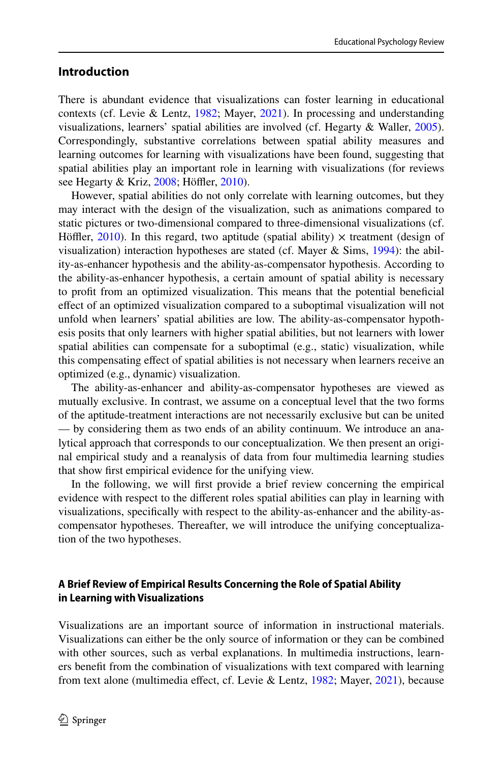# **Introduction**

There is abundant evidence that visualizations can foster learning in educational contexts (cf. Levie & Lentz, [1982;](#page-31-0) Mayer, [2021](#page-31-1)). In processing and understanding visualizations, learners' spatial abilities are involved (cf. Hegarty & Waller, [2005\)](#page-30-0). Correspondingly, substantive correlations between spatial ability measures and learning outcomes for learning with visualizations have been found, suggesting that spatial abilities play an important role in learning with visualizations (for reviews see Hegarty & Kriz, [2008](#page-30-1); Höffler, [2010\)](#page-30-2).

However, spatial abilities do not only correlate with learning outcomes, but they may interact with the design of the visualization, such as animations compared to static pictures or two-dimensional compared to three-dimensional visualizations (cf. Höffler, [2010](#page-30-2)). In this regard, two aptitude (spatial ability)  $\times$  treatment (design of visualization) interaction hypotheses are stated (cf. Mayer & Sims, [1994](#page-31-2)): the ability-as-enhancer hypothesis and the ability-as-compensator hypothesis. According to the ability-as-enhancer hypothesis, a certain amount of spatial ability is necessary to proft from an optimized visualization. This means that the potential benefcial efect of an optimized visualization compared to a suboptimal visualization will not unfold when learners' spatial abilities are low. The ability-as-compensator hypothesis posits that only learners with higher spatial abilities, but not learners with lower spatial abilities can compensate for a suboptimal (e.g., static) visualization, while this compensating efect of spatial abilities is not necessary when learners receive an optimized (e.g., dynamic) visualization.

The ability-as-enhancer and ability-as-compensator hypotheses are viewed as mutually exclusive. In contrast, we assume on a conceptual level that the two forms of the aptitude-treatment interactions are not necessarily exclusive but can be united — by considering them as two ends of an ability continuum. We introduce an analytical approach that corresponds to our conceptualization. We then present an original empirical study and a reanalysis of data from four multimedia learning studies that show frst empirical evidence for the unifying view.

In the following, we will frst provide a brief review concerning the empirical evidence with respect to the diferent roles spatial abilities can play in learning with visualizations, specifcally with respect to the ability-as-enhancer and the ability-ascompensator hypotheses. Thereafter, we will introduce the unifying conceptualization of the two hypotheses.

# **A Brief Review of Empirical Results Concerning the Role of Spatial Ability in Learning with Visualizations**

Visualizations are an important source of information in instructional materials. Visualizations can either be the only source of information or they can be combined with other sources, such as verbal explanations. In multimedia instructions, learners beneft from the combination of visualizations with text compared with learning from text alone (multimedia effect, cf. Levie & Lentz, [1982;](#page-31-0) Mayer, [2021](#page-31-1)), because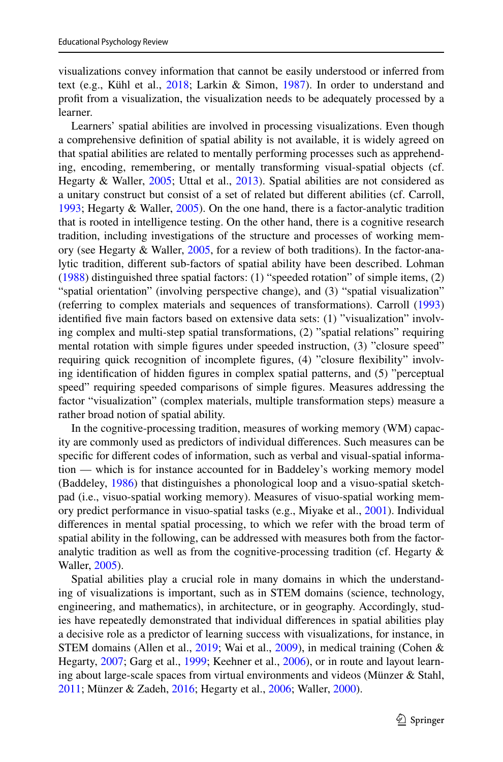visualizations convey information that cannot be easily understood or inferred from text (e.g., Kühl et al.,  $2018$ ; Larkin & Simon, [1987](#page-31-4)). In order to understand and proft from a visualization, the visualization needs to be adequately processed by a learner.

Learners' spatial abilities are involved in processing visualizations. Even though a comprehensive defnition of spatial ability is not available, it is widely agreed on that spatial abilities are related to mentally performing processes such as apprehending, encoding, remembering, or mentally transforming visual-spatial objects (cf. Hegarty & Waller, [2005](#page-30-0); Uttal et al., [2013](#page-32-0)). Spatial abilities are not considered as a unitary construct but consist of a set of related but diferent abilities (cf. Carroll, [1993](#page-29-0); Hegarty & Waller, [2005\)](#page-30-0). On the one hand, there is a factor-analytic tradition that is rooted in intelligence testing. On the other hand, there is a cognitive research tradition, including investigations of the structure and processes of working memory (see Hegarty & Waller, [2005,](#page-30-0) for a review of both traditions). In the factor-analytic tradition, diferent sub-factors of spatial ability have been described. Lohman [\(1988](#page-31-5)) distinguished three spatial factors: (1) "speeded rotation" of simple items, (2) "spatial orientation" (involving perspective change), and (3) "spatial visualization" (referring to complex materials and sequences of transformations). Carroll [\(1993](#page-29-0)) identifed fve main factors based on extensive data sets: (1) "visualization" involving complex and multi-step spatial transformations, (2) "spatial relations" requiring mental rotation with simple fgures under speeded instruction, (3) "closure speed" requiring quick recognition of incomplete fgures, (4) "closure fexibility" involving identifcation of hidden fgures in complex spatial patterns, and (5) "perceptual speed" requiring speeded comparisons of simple fgures. Measures addressing the factor "visualization" (complex materials, multiple transformation steps) measure a rather broad notion of spatial ability.

In the cognitive-processing tradition, measures of working memory (WM) capacity are commonly used as predictors of individual diferences. Such measures can be specifc for diferent codes of information, such as verbal and visual-spatial information — which is for instance accounted for in Baddeley's working memory model (Baddeley, [1986\)](#page-29-1) that distinguishes a phonological loop and a visuo-spatial sketchpad (i.e., visuo-spatial working memory). Measures of visuo-spatial working memory predict performance in visuo-spatial tasks (e.g., Miyake et al., [2001\)](#page-31-6). Individual diferences in mental spatial processing, to which we refer with the broad term of spatial ability in the following, can be addressed with measures both from the factoranalytic tradition as well as from the cognitive-processing tradition (cf. Hegarty & Waller, [2005](#page-30-0)).

Spatial abilities play a crucial role in many domains in which the understanding of visualizations is important, such as in STEM domains (science, technology, engineering, and mathematics), in architecture, or in geography. Accordingly, studies have repeatedly demonstrated that individual diferences in spatial abilities play a decisive role as a predictor of learning success with visualizations, for instance, in STEM domains (Allen et al., [2019;](#page-29-2) Wai et al., [2009](#page-32-1)), in medical training (Cohen & Hegarty, [2007](#page-30-3); Garg et al., [1999;](#page-30-4) Keehner et al., [2006](#page-30-5)), or in route and layout learning about large-scale spaces from virtual environments and videos (Münzer & Stahl, [2011](#page-31-7); Münzer & Zadeh, [2016](#page-31-8); Hegarty et al., [2006;](#page-30-6) Waller, [2000](#page-32-2)).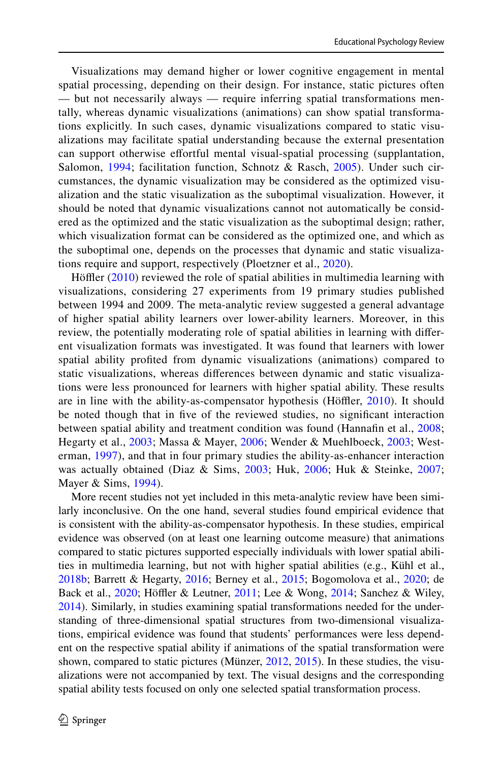Visualizations may demand higher or lower cognitive engagement in mental spatial processing, depending on their design. For instance, static pictures often — but not necessarily always — require inferring spatial transformations mentally, whereas dynamic visualizations (animations) can show spatial transformations explicitly. In such cases, dynamic visualizations compared to static visualizations may facilitate spatial understanding because the external presentation can support otherwise efortful mental visual-spatial processing (supplantation, Salomon, [1994;](#page-32-3) facilitation function, Schnotz & Rasch, [2005](#page-32-4)). Under such circumstances, the dynamic visualization may be considered as the optimized visualization and the static visualization as the suboptimal visualization. However, it should be noted that dynamic visualizations cannot not automatically be considered as the optimized and the static visualization as the suboptimal design; rather, which visualization format can be considered as the optimized one, and which as the suboptimal one, depends on the processes that dynamic and static visualizations require and support, respectively (Ploetzner et al., [2020\)](#page-31-9).

Höffler [\(2010\)](#page-30-2) reviewed the role of spatial abilities in multimedia learning with visualizations, considering 27 experiments from 19 primary studies published between 1994 and 2009. The meta-analytic review suggested a general advantage of higher spatial ability learners over lower-ability learners. Moreover, in this review, the potentially moderating role of spatial abilities in learning with diferent visualization formats was investigated. It was found that learners with lower spatial ability profted from dynamic visualizations (animations) compared to static visualizations, whereas diferences between dynamic and static visualizations were less pronounced for learners with higher spatial ability. These results are in line with the ability-as-compensator hypothesis (Höffler, [2010](#page-30-2)). It should be noted though that in fve of the reviewed studies, no signifcant interaction between spatial ability and treatment condition was found (Hannafn et al., [2008;](#page-30-7) Hegarty et al., [2003](#page-30-8); Massa & Mayer, [2006;](#page-31-10) Wender & Muehlboeck, [2003;](#page-32-5) Westerman, [1997](#page-32-6)), and that in four primary studies the ability-as-enhancer interaction was actually obtained (Diaz & Sims, [2003](#page-30-9); Huk, [2006;](#page-30-10) Huk & Steinke, [2007;](#page-30-11) Mayer & Sims, [1994\)](#page-31-2).

More recent studies not yet included in this meta-analytic review have been similarly inconclusive. On the one hand, several studies found empirical evidence that is consistent with the ability-as-compensator hypothesis. In these studies, empirical evidence was observed (on at least one learning outcome measure) that animations compared to static pictures supported especially individuals with lower spatial abilities in multimedia learning, but not with higher spatial abilities (e.g., Kühl et al., [2018b](#page-31-11); Barrett & Hegarty, [2016](#page-29-3); Berney et al., [2015](#page-29-4); Bogomolova et al., [2020;](#page-29-5) de Back et al., [2020](#page-30-12); Höffler & Leutner, [2011;](#page-30-13) Lee & Wong, [2014](#page-31-12); Sanchez & Wiley, [2014](#page-32-7)). Similarly, in studies examining spatial transformations needed for the understanding of three-dimensional spatial structures from two-dimensional visualizations, empirical evidence was found that students' performances were less dependent on the respective spatial ability if animations of the spatial transformation were shown, compared to static pictures (Münzer, [2012](#page-31-13), [2015](#page-31-14)). In these studies, the visualizations were not accompanied by text. The visual designs and the corresponding spatial ability tests focused on only one selected spatial transformation process.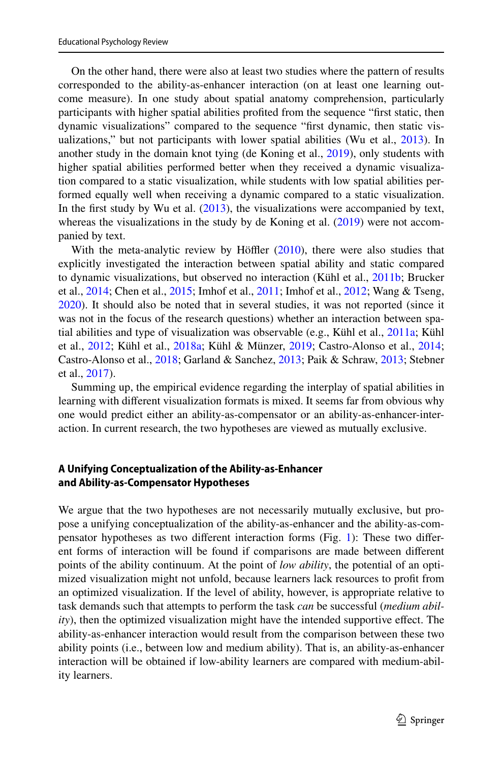On the other hand, there were also at least two studies where the pattern of results corresponded to the ability-as-enhancer interaction (on at least one learning outcome measure). In one study about spatial anatomy comprehension, particularly participants with higher spatial abilities profted from the sequence "frst static, then dynamic visualizations" compared to the sequence "frst dynamic, then static visualizations," but not participants with lower spatial abilities (Wu et al., [2013](#page-32-8)). In another study in the domain knot tying (de Koning et al., [2019\)](#page-30-14), only students with higher spatial abilities performed better when they received a dynamic visualization compared to a static visualization, while students with low spatial abilities performed equally well when receiving a dynamic compared to a static visualization. In the frst study by Wu et al. ([2013\)](#page-32-8), the visualizations were accompanied by text, whereas the visualizations in the study by de Koning et al.  $(2019)$  $(2019)$  were not accompanied by text.

With the meta-analytic review by Höffler  $(2010)$  $(2010)$ , there were also studies that explicitly investigated the interaction between spatial ability and static compared to dynamic visualizations, but observed no interaction (Kühl et al., [2011b](#page-31-15); Brucker et al., [2014](#page-29-6); Chen et al., [2015](#page-29-7); Imhof et al., [2011](#page-30-15); Imhof et al., [2012;](#page-30-16) Wang & Tseng, [2020](#page-32-9)). It should also be noted that in several studies, it was not reported (since it was not in the focus of the research questions) whether an interaction between spatial abilities and type of visualization was observable (e.g., Kühl et al., [2011a;](#page-31-16) Kühl et al., [2012;](#page-31-17) Kühl et al., [2018a](#page-31-3); Kühl & Münzer, [2019;](#page-31-18) Castro-Alonso et al., [2014;](#page-29-8) Castro-Alonso et al., [2018](#page-29-9); Garland & Sanchez, [2013](#page-30-17); Paik & Schraw, [2013;](#page-31-19) Stebner et al., [2017](#page-32-10)).

Summing up, the empirical evidence regarding the interplay of spatial abilities in learning with diferent visualization formats is mixed. It seems far from obvious why one would predict either an ability-as-compensator or an ability-as-enhancer-interaction. In current research, the two hypotheses are viewed as mutually exclusive.

### **A Unifying Conceptualization of the Ability‑as‑Enhancer and Ability‑as‑Compensator Hypotheses**

We argue that the two hypotheses are not necessarily mutually exclusive, but propose a unifying conceptualization of the ability-as-enhancer and the ability-as-compensator hypotheses as two diferent interaction forms (Fig. [1](#page-5-0)): These two diferent forms of interaction will be found if comparisons are made between diferent points of the ability continuum. At the point of *low ability*, the potential of an optimized visualization might not unfold, because learners lack resources to proft from an optimized visualization. If the level of ability, however, is appropriate relative to task demands such that attempts to perform the task *can* be successful (*medium ability*), then the optimized visualization might have the intended supportive efect. The ability-as-enhancer interaction would result from the comparison between these two ability points (i.e., between low and medium ability). That is, an ability-as-enhancer interaction will be obtained if low-ability learners are compared with medium-ability learners.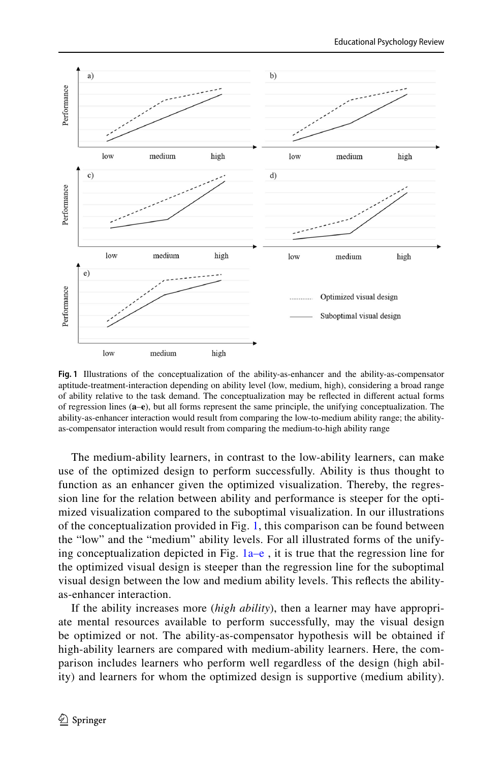

<span id="page-5-0"></span>**Fig. 1** Illustrations of the conceptualization of the ability-as-enhancer and the ability-as-compensator aptitude-treatment-interaction depending on ability level (low, medium, high), considering a broad range of ability relative to the task demand. The conceptualization may be refected in diferent actual forms of regression lines (**a**–**e**), but all forms represent the same principle, the unifying conceptualization. The ability-as-enhancer interaction would result from comparing the low-to-medium ability range; the abilityas-compensator interaction would result from comparing the medium-to-high ability range

The medium-ability learners, in contrast to the low-ability learners, can make use of the optimized design to perform successfully. Ability is thus thought to function as an enhancer given the optimized visualization. Thereby, the regression line for the relation between ability and performance is steeper for the optimized visualization compared to the suboptimal visualization. In our illustrations of the conceptualization provided in Fig. [1,](#page-5-0) this comparison can be found between the "low" and the "medium" ability levels. For all illustrated forms of the unifying conceptualization depicted in Fig.  $1a-e$ , it is true that the regression line for the optimized visual design is steeper than the regression line for the suboptimal visual design between the low and medium ability levels. This refects the abilityas-enhancer interaction.

If the ability increases more (*high ability*), then a learner may have appropriate mental resources available to perform successfully, may the visual design be optimized or not. The ability-as-compensator hypothesis will be obtained if high-ability learners are compared with medium-ability learners. Here, the comparison includes learners who perform well regardless of the design (high ability) and learners for whom the optimized design is supportive (medium ability).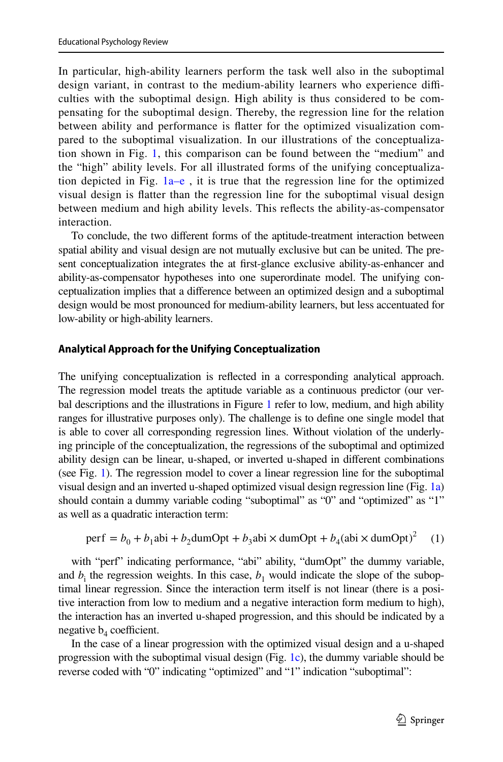In particular, high-ability learners perform the task well also in the suboptimal design variant, in contrast to the medium-ability learners who experience difficulties with the suboptimal design. High ability is thus considered to be compensating for the suboptimal design. Thereby, the regression line for the relation between ability and performance is fatter for the optimized visualization compared to the suboptimal visualization. In our illustrations of the conceptualization shown in Fig. [1,](#page-5-0) this comparison can be found between the "medium" and the "high" ability levels. For all illustrated forms of the unifying conceptualization depicted in Fig.  $1a-e$ , it is true that the regression line for the optimized visual design is fatter than the regression line for the suboptimal visual design between medium and high ability levels. This refects the ability-as-compensator interaction.

To conclude, the two diferent forms of the aptitude-treatment interaction between spatial ability and visual design are not mutually exclusive but can be united. The present conceptualization integrates the at frst-glance exclusive ability-as-enhancer and ability-as-compensator hypotheses into one superordinate model. The unifying conceptualization implies that a diference between an optimized design and a suboptimal design would be most pronounced for medium-ability learners, but less accentuated for low-ability or high-ability learners.

#### **Analytical Approach for the Unifying Conceptualization**

The unifying conceptualization is refected in a corresponding analytical approach. The regression model treats the aptitude variable as a continuous predictor (our ver-bal descriptions and the illustrations in Figure [1](#page-5-0) refer to low, medium, and high ability ranges for illustrative purposes only). The challenge is to defne one single model that is able to cover all corresponding regression lines. Without violation of the underlying principle of the conceptualization, the regressions of the suboptimal and optimized ability design can be linear, u-shaped, or inverted u-shaped in diferent combinations (see Fig. [1\)](#page-5-0). The regression model to cover a linear regression line for the suboptimal visual design and an inverted u-shaped optimized visual design regression line (Fig. [1a](#page-5-0)) should contain a dummy variable coding "suboptimal" as "0" and "optimized" as "1" as well as a quadratic interaction term:

<span id="page-6-0"></span>perf = 
$$
b_0 + b_1
$$
abi +  $b_2$ dumOpt +  $b_3$ abi × dumOpt +  $b_4$ (abi × dumOpt)<sup>2</sup> (1)

with "perf" indicating performance, "abi" ability, "dumOpt" the dummy variable, and  $b_i$  the regression weights. In this case,  $b_1$  would indicate the slope of the suboptimal linear regression. Since the interaction term itself is not linear (there is a positive interaction from low to medium and a negative interaction form medium to high), the interaction has an inverted u-shaped progression, and this should be indicated by a negative  $b_4$  coefficient.

In the case of a linear progression with the optimized visual design and a u-shaped progression with the suboptimal visual design (Fig. [1c](#page-5-0)), the dummy variable should be reverse coded with "0" indicating "optimized" and "1" indication "suboptimal":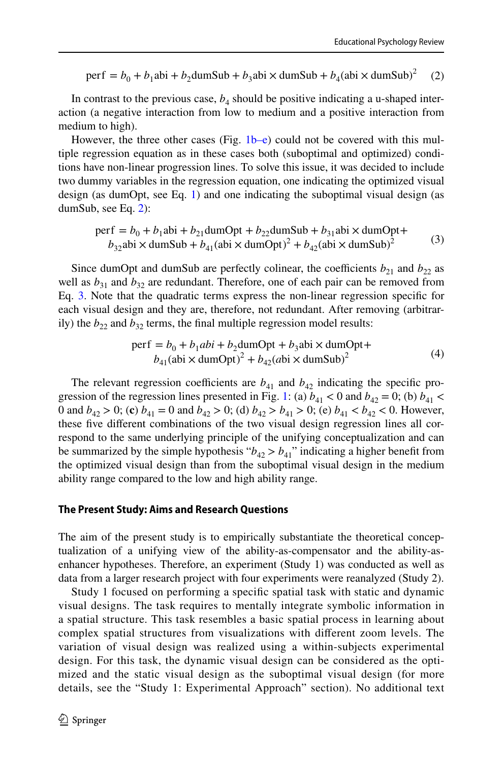<span id="page-7-0"></span>perf =  $b_0 + b_1$ abi +  $b_2$ dumSub +  $b_3$ abi × dumSub +  $b_4$ (abi × dumSub)<sup>2</sup> (2)

In contrast to the previous case,  $b_4$  should be positive indicating a u-shaped interaction (a negative interaction from low to medium and a positive interaction from medium to high).

However, the three other cases (Fig. [1b–e\)](#page-5-0) could not be covered with this multiple regression equation as in these cases both (suboptimal and optimized) conditions have non-linear progression lines. To solve this issue, it was decided to include two dummy variables in the regression equation, one indicating the optimized visual design (as dumOpt, see Eq. [1\)](#page-6-0) and one indicating the suboptimal visual design (as dumSub, see Eq. [2\)](#page-7-0):

perf = 
$$
b_0 + b_1
$$
abi +  $b_{21}$ dumOpt +  $b_{22}$ dumSub +  $b_{31}$ abi × dumOpt+  
\n $b_{32}$ abi × dumSub +  $b_{41}$ (abi × dumOpt)<sup>2</sup> +  $b_{42}$ (abi × dumSub)<sup>2</sup> (3)

Since dumOpt and dumSub are perfectly colinear, the coefficients  $b_{21}$  and  $b_{22}$  as well as  $b_{31}$  and  $b_{32}$  are redundant. Therefore, one of each pair can be removed from Eq. [3](#page-7-1). Note that the quadratic terms express the non-linear regression specifc for each visual design and they are, therefore, not redundant. After removing (arbitrarily) the  $b_{22}$  and  $b_{32}$  terms, the final multiple regression model results:

<span id="page-7-2"></span><span id="page-7-1"></span>perf = 
$$
b_0 + b_1 \text{abi} + b_2 \text{dumOpt} + b_3 \text{abi} \times \text{dumOpt} +
$$
  
\n $b_{41}(\text{abi} \times \text{dumOpt})^2 + b_{42}(\text{abi} \times \text{dumSub})^2$  (4)

The relevant regression coefficients are  $b_{41}$  and  $b_{42}$  indicating the specific pro-gression of the regression lines presented in Fig. [1:](#page-5-0) (a)  $b_{41} < 0$  and  $b_{42} = 0$ ; (b)  $b_{41} <$ 0 and  $b_{42} > 0$ ; (c)  $b_{41} = 0$  and  $b_{42} > 0$ ; (d)  $b_{42} > b_{41} > 0$ ; (e)  $b_{41} < b_{42} < 0$ . However, these fve diferent combinations of the two visual design regression lines all correspond to the same underlying principle of the unifying conceptualization and can be summarized by the simple hypothesis " $b_{42} > b_{41}$ " indicating a higher benefit from the optimized visual design than from the suboptimal visual design in the medium ability range compared to the low and high ability range.

#### **The Present Study: Aims and Research Questions**

The aim of the present study is to empirically substantiate the theoretical conceptualization of a unifying view of the ability-as-compensator and the ability-asenhancer hypotheses. Therefore, an experiment (Study 1) was conducted as well as data from a larger research project with four experiments were reanalyzed (Study 2).

Study 1 focused on performing a specifc spatial task with static and dynamic visual designs. The task requires to mentally integrate symbolic information in a spatial structure. This task resembles a basic spatial process in learning about complex spatial structures from visualizations with diferent zoom levels. The variation of visual design was realized using a within-subjects experimental design. For this task, the dynamic visual design can be considered as the optimized and the static visual design as the suboptimal visual design (for more details, see the "Study 1: Experimental Approach" section). No additional text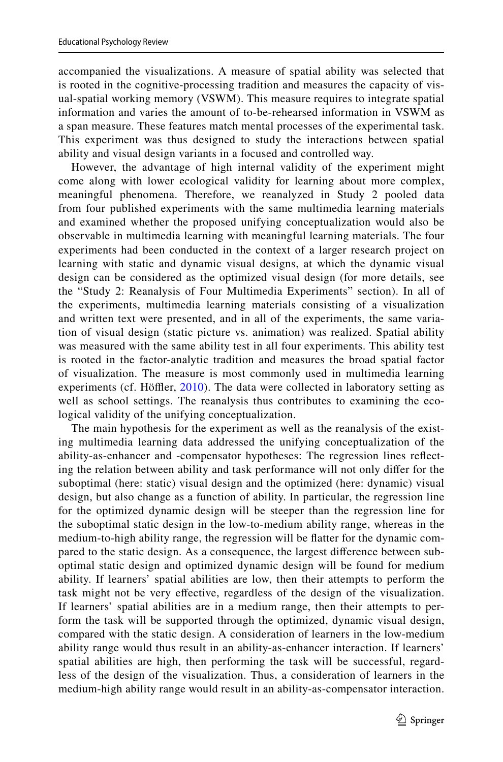accompanied the visualizations. A measure of spatial ability was selected that is rooted in the cognitive-processing tradition and measures the capacity of visual-spatial working memory (VSWM). This measure requires to integrate spatial information and varies the amount of to-be-rehearsed information in VSWM as a span measure. These features match mental processes of the experimental task. This experiment was thus designed to study the interactions between spatial ability and visual design variants in a focused and controlled way.

However, the advantage of high internal validity of the experiment might come along with lower ecological validity for learning about more complex, meaningful phenomena. Therefore, we reanalyzed in Study 2 pooled data from four published experiments with the same multimedia learning materials and examined whether the proposed unifying conceptualization would also be observable in multimedia learning with meaningful learning materials. The four experiments had been conducted in the context of a larger research project on learning with static and dynamic visual designs, at which the dynamic visual design can be considered as the optimized visual design (for more details, see the "Study 2: Reanalysis of Four Multimedia Experiments" section). In all of the experiments, multimedia learning materials consisting of a visualization and written text were presented, and in all of the experiments, the same variation of visual design (static picture vs. animation) was realized. Spatial ability was measured with the same ability test in all four experiments. This ability test is rooted in the factor-analytic tradition and measures the broad spatial factor of visualization. The measure is most commonly used in multimedia learning experiments (cf. Höffler,  $2010$ ). The data were collected in laboratory setting as well as school settings. The reanalysis thus contributes to examining the ecological validity of the unifying conceptualization.

The main hypothesis for the experiment as well as the reanalysis of the existing multimedia learning data addressed the unifying conceptualization of the ability-as-enhancer and -compensator hypotheses: The regression lines refecting the relation between ability and task performance will not only difer for the suboptimal (here: static) visual design and the optimized (here: dynamic) visual design, but also change as a function of ability. In particular, the regression line for the optimized dynamic design will be steeper than the regression line for the suboptimal static design in the low-to-medium ability range, whereas in the medium-to-high ability range, the regression will be fatter for the dynamic compared to the static design. As a consequence, the largest diference between suboptimal static design and optimized dynamic design will be found for medium ability. If learners' spatial abilities are low, then their attempts to perform the task might not be very efective, regardless of the design of the visualization. If learners' spatial abilities are in a medium range, then their attempts to perform the task will be supported through the optimized, dynamic visual design, compared with the static design. A consideration of learners in the low-medium ability range would thus result in an ability-as-enhancer interaction. If learners' spatial abilities are high, then performing the task will be successful, regardless of the design of the visualization. Thus, a consideration of learners in the medium-high ability range would result in an ability-as-compensator interaction.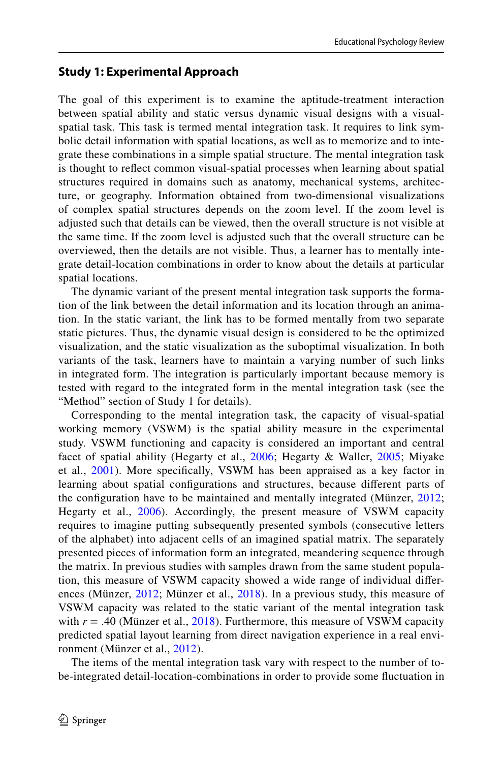# **Study 1: Experimental Approach**

The goal of this experiment is to examine the aptitude-treatment interaction between spatial ability and static versus dynamic visual designs with a visualspatial task. This task is termed mental integration task. It requires to link symbolic detail information with spatial locations, as well as to memorize and to integrate these combinations in a simple spatial structure. The mental integration task is thought to refect common visual-spatial processes when learning about spatial structures required in domains such as anatomy, mechanical systems, architecture, or geography. Information obtained from two-dimensional visualizations of complex spatial structures depends on the zoom level. If the zoom level is adjusted such that details can be viewed, then the overall structure is not visible at the same time. If the zoom level is adjusted such that the overall structure can be overviewed, then the details are not visible. Thus, a learner has to mentally integrate detail-location combinations in order to know about the details at particular spatial locations.

The dynamic variant of the present mental integration task supports the formation of the link between the detail information and its location through an animation. In the static variant, the link has to be formed mentally from two separate static pictures. Thus, the dynamic visual design is considered to be the optimized visualization, and the static visualization as the suboptimal visualization. In both variants of the task, learners have to maintain a varying number of such links in integrated form. The integration is particularly important because memory is tested with regard to the integrated form in the mental integration task (see the "Method" section of Study 1 for details).

Corresponding to the mental integration task, the capacity of visual-spatial working memory (VSWM) is the spatial ability measure in the experimental study. VSWM functioning and capacity is considered an important and central facet of spatial ability (Hegarty et al., [2006](#page-30-6); Hegarty & Waller, [2005](#page-30-0); Miyake et al., [2001](#page-31-6)). More specifcally, VSWM has been appraised as a key factor in learning about spatial confgurations and structures, because diferent parts of the confguration have to be maintained and mentally integrated (Münzer, [2012;](#page-31-13) Hegarty et al., [2006\)](#page-30-6). Accordingly, the present measure of VSWM capacity requires to imagine putting subsequently presented symbols (consecutive letters of the alphabet) into adjacent cells of an imagined spatial matrix. The separately presented pieces of information form an integrated, meandering sequence through the matrix. In previous studies with samples drawn from the same student population, this measure of VSWM capacity showed a wide range of individual diferences (Münzer, [2012;](#page-31-13) Münzer et al., [2018\)](#page-31-20). In a previous study, this measure of VSWM capacity was related to the static variant of the mental integration task with  $r = .40$  (Münzer et al., [2018](#page-31-20)). Furthermore, this measure of VSWM capacity predicted spatial layout learning from direct navigation experience in a real environment (Münzer et al., [2012\)](#page-31-21).

The items of the mental integration task vary with respect to the number of tobe-integrated detail-location-combinations in order to provide some fuctuation in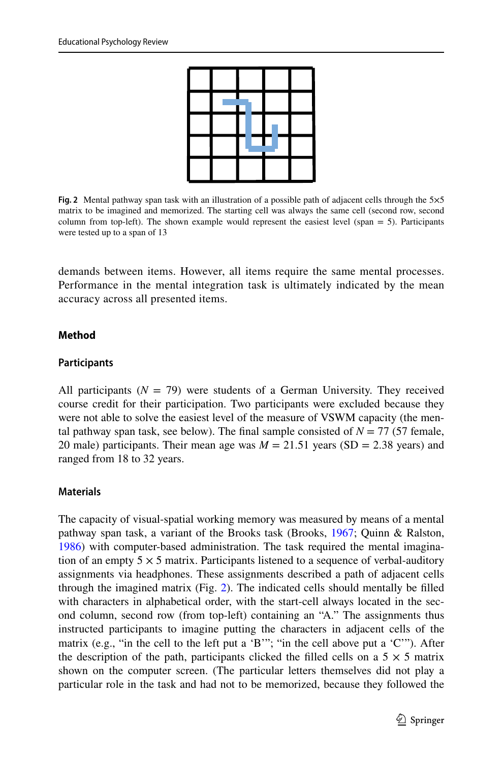

**Fig. 2** Mental pathway span task with an illustration of a possible path of adjacent cells through the 5×5 matrix to be imagined and memorized. The starting cell was always the same cell (second row, second column from top-left). The shown example would represent the easiest level (span  $= 5$ ). Participants were tested up to a span of 13

<span id="page-10-0"></span>demands between items. However, all items require the same mental processes. Performance in the mental integration task is ultimately indicated by the mean accuracy across all presented items.

#### **Method**

#### **Participants**

All participants  $(N = 79)$  were students of a German University. They received course credit for their participation. Two participants were excluded because they were not able to solve the easiest level of the measure of VSWM capacity (the mental pathway span task, see below). The final sample consisted of  $N = 77$  (57 female, 20 male) participants. Their mean age was  $M = 21.51$  years (SD = 2.38 years) and ranged from 18 to 32 years.

#### **Materials**

The capacity of visual-spatial working memory was measured by means of a mental pathway span task, a variant of the Brooks task (Brooks, [1967](#page-29-10); Quinn & Ralston, [1986](#page-32-11)) with computer-based administration. The task required the mental imagination of an empty  $5 \times 5$  matrix. Participants listened to a sequence of verbal-auditory assignments via headphones. These assignments described a path of adjacent cells through the imagined matrix (Fig. [2](#page-10-0)). The indicated cells should mentally be flled with characters in alphabetical order, with the start-cell always located in the second column, second row (from top-left) containing an "A." The assignments thus instructed participants to imagine putting the characters in adjacent cells of the matrix (e.g., "in the cell to the left put a 'B'"; "in the cell above put a 'C'"). After the description of the path, participants clicked the filled cells on a  $5 \times 5$  matrix shown on the computer screen. (The particular letters themselves did not play a particular role in the task and had not to be memorized, because they followed the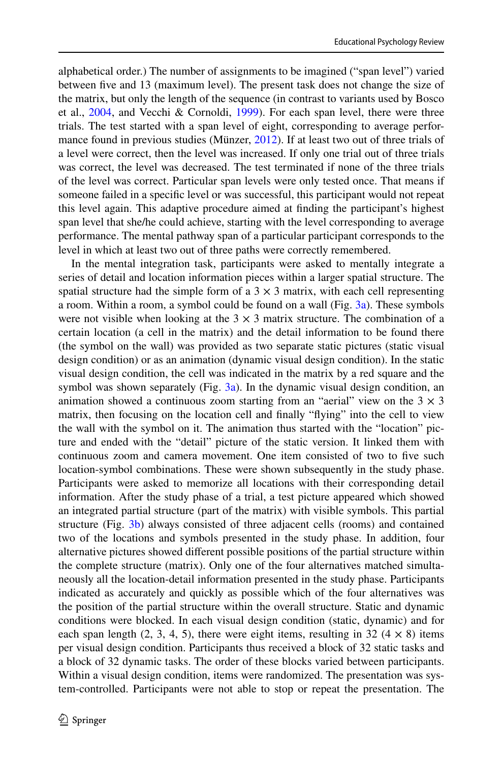alphabetical order.) The number of assignments to be imagined ("span level") varied between fve and 13 (maximum level). The present task does not change the size of the matrix, but only the length of the sequence (in contrast to variants used by Bosco et al., [2004,](#page-29-11) and Vecchi & Cornoldi, [1999](#page-32-12)). For each span level, there were three trials. The test started with a span level of eight, corresponding to average performance found in previous studies (Münzer, [2012](#page-31-13)). If at least two out of three trials of a level were correct, then the level was increased. If only one trial out of three trials was correct, the level was decreased. The test terminated if none of the three trials of the level was correct. Particular span levels were only tested once. That means if someone failed in a specifc level or was successful, this participant would not repeat this level again. This adaptive procedure aimed at fnding the participant's highest span level that she/he could achieve, starting with the level corresponding to average performance. The mental pathway span of a particular participant corresponds to the level in which at least two out of three paths were correctly remembered.

In the mental integration task, participants were asked to mentally integrate a series of detail and location information pieces within a larger spatial structure. The spatial structure had the simple form of a  $3 \times 3$  matrix, with each cell representing a room. Within a room, a symbol could be found on a wall (Fig.  $3a$ ). These symbols were not visible when looking at the  $3 \times 3$  matrix structure. The combination of a certain location (a cell in the matrix) and the detail information to be found there (the symbol on the wall) was provided as two separate static pictures (static visual design condition) or as an animation (dynamic visual design condition). In the static visual design condition, the cell was indicated in the matrix by a red square and the symbol was shown separately (Fig.  $3a$ ). In the dynamic visual design condition, an animation showed a continuous zoom starting from an "aerial" view on the  $3 \times 3$ matrix, then focusing on the location cell and fnally "fying" into the cell to view the wall with the symbol on it. The animation thus started with the "location" picture and ended with the "detail" picture of the static version. It linked them with continuous zoom and camera movement. One item consisted of two to fve such location-symbol combinations. These were shown subsequently in the study phase. Participants were asked to memorize all locations with their corresponding detail information. After the study phase of a trial, a test picture appeared which showed an integrated partial structure (part of the matrix) with visible symbols. This partial structure (Fig. [3b\)](#page-12-0) always consisted of three adjacent cells (rooms) and contained two of the locations and symbols presented in the study phase. In addition, four alternative pictures showed diferent possible positions of the partial structure within the complete structure (matrix). Only one of the four alternatives matched simultaneously all the location-detail information presented in the study phase. Participants indicated as accurately and quickly as possible which of the four alternatives was the position of the partial structure within the overall structure. Static and dynamic conditions were blocked. In each visual design condition (static, dynamic) and for each span length (2, 3, 4, 5), there were eight items, resulting in 32 ( $4 \times 8$ ) items per visual design condition. Participants thus received a block of 32 static tasks and a block of 32 dynamic tasks. The order of these blocks varied between participants. Within a visual design condition, items were randomized. The presentation was system-controlled. Participants were not able to stop or repeat the presentation. The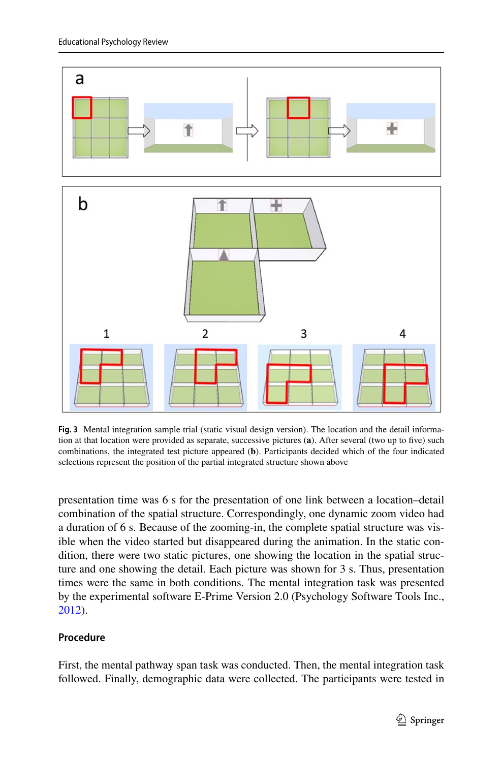

<span id="page-12-0"></span>**Fig. 3** Mental integration sample trial (static visual design version). The location and the detail information at that location were provided as separate, successive pictures (**a**). After several (two up to fve) such combinations, the integrated test picture appeared (**b**). Participants decided which of the four indicated selections represent the position of the partial integrated structure shown above

presentation time was 6 s for the presentation of one link between a location–detail combination of the spatial structure. Correspondingly, one dynamic zoom video had a duration of 6 s. Because of the zooming-in, the complete spatial structure was visible when the video started but disappeared during the animation. In the static condition, there were two static pictures, one showing the location in the spatial structure and one showing the detail. Each picture was shown for 3 s. Thus, presentation times were the same in both conditions. The mental integration task was presented by the experimental software E-Prime Version 2.0 (Psychology Software Tools Inc., [2012](#page-32-13)).

# **Procedure**

First, the mental pathway span task was conducted. Then, the mental integration task followed. Finally, demographic data were collected. The participants were tested in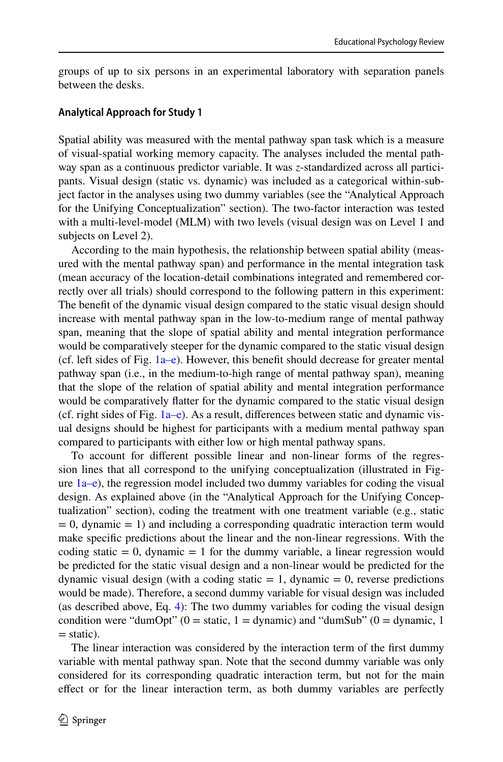groups of up to six persons in an experimental laboratory with separation panels between the desks.

### **Analytical Approach for Study 1**

Spatial ability was measured with the mental pathway span task which is a measure of visual-spatial working memory capacity. The analyses included the mental pathway span as a continuous predictor variable. It was *z*-standardized across all participants. Visual design (static vs. dynamic) was included as a categorical within-subject factor in the analyses using two dummy variables (see the "Analytical Approach for the Unifying Conceptualization" section). The two-factor interaction was tested with a multi-level-model (MLM) with two levels (visual design was on Level 1 and subjects on Level 2).

According to the main hypothesis, the relationship between spatial ability (measured with the mental pathway span) and performance in the mental integration task (mean accuracy of the location-detail combinations integrated and remembered correctly over all trials) should correspond to the following pattern in this experiment: The beneft of the dynamic visual design compared to the static visual design should increase with mental pathway span in the low-to-medium range of mental pathway span, meaning that the slope of spatial ability and mental integration performance would be comparatively steeper for the dynamic compared to the static visual design (cf. left sides of Fig.  $1a-e$ ). However, this benefit should decrease for greater mental pathway span (i.e., in the medium-to-high range of mental pathway span), meaning that the slope of the relation of spatial ability and mental integration performance would be comparatively fatter for the dynamic compared to the static visual design (cf. right sides of Fig.  $1a-e$ ). As a result, differences between static and dynamic visual designs should be highest for participants with a medium mental pathway span compared to participants with either low or high mental pathway spans.

To account for diferent possible linear and non-linear forms of the regression lines that all correspond to the unifying conceptualization (illustrated in Figure  $1a-e$ ), the regression model included two dummy variables for coding the visual design. As explained above (in the "Analytical Approach for the Unifying Conceptualization" section), coding the treatment with one treatment variable (e.g., static  $= 0$ , dynamic  $= 1$ ) and including a corresponding quadratic interaction term would make specifc predictions about the linear and the non-linear regressions. With the coding static  $= 0$ , dynamic  $= 1$  for the dummy variable, a linear regression would be predicted for the static visual design and a non-linear would be predicted for the dynamic visual design (with a coding static  $= 1$ , dynamic  $= 0$ , reverse predictions would be made). Therefore, a second dummy variable for visual design was included (as described above, Eq. [4\)](#page-7-2): The two dummy variables for coding the visual design condition were "dumOpt" ( $0 =$  static,  $1 =$  dynamic) and "dumSub" ( $0 =$  dynamic, 1  $=$  static).

The linear interaction was considered by the interaction term of the frst dummy variable with mental pathway span. Note that the second dummy variable was only considered for its corresponding quadratic interaction term, but not for the main efect or for the linear interaction term, as both dummy variables are perfectly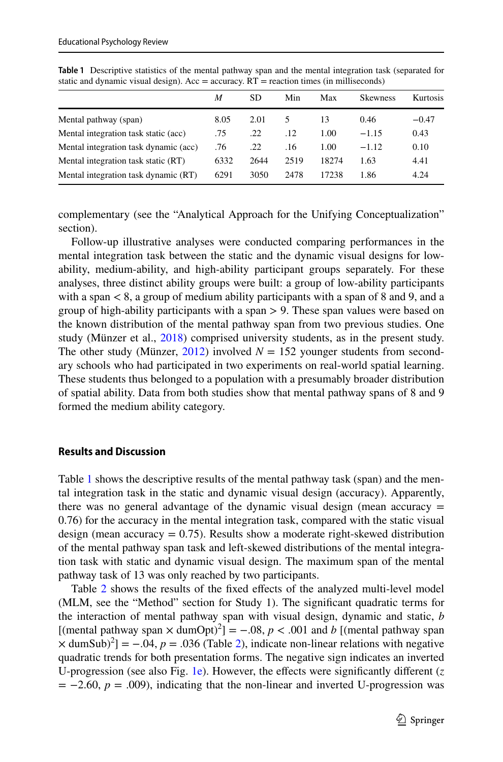|                                       | M    | SD   | Min  | Max   | <b>Skewness</b> | <b>Kurtosis</b> |
|---------------------------------------|------|------|------|-------|-----------------|-----------------|
| Mental pathway (span)                 | 8.05 | 2.01 |      | 13    | 0.46            | $-0.47$         |
| Mental integration task static (acc)  | .75  | .22  | .12  | 1.00  | $-1.15$         | 0.43            |
| Mental integration task dynamic (acc) | .76  | .22  | .16  | 1.00  | $-1.12$         | 0.10            |
| Mental integration task static (RT)   | 6332 | 2644 | 2519 | 18274 | 1.63            | 4.41            |
| Mental integration task dynamic (RT)  | 6291 | 3050 | 2478 | 17238 | 1.86            | 4.24            |

<span id="page-14-0"></span>**Table 1** Descriptive statistics of the mental pathway span and the mental integration task (separated for static and dynamic visual design). Acc = accuracy.  $RT$  = reaction times (in milliseconds)

complementary (see the "Analytical Approach for the Unifying Conceptualization" section).

Follow-up illustrative analyses were conducted comparing performances in the mental integration task between the static and the dynamic visual designs for lowability, medium-ability, and high-ability participant groups separately. For these analyses, three distinct ability groups were built: a group of low-ability participants with a span  $\lt 8$ , a group of medium ability participants with a span of 8 and 9, and a group of high-ability participants with a span  $> 9$ . These span values were based on the known distribution of the mental pathway span from two previous studies. One study (Münzer et al., [2018](#page-31-20)) comprised university students, as in the present study. The other study (Münzer,  $2012$ ) involved  $N = 152$  younger students from secondary schools who had participated in two experiments on real-world spatial learning. These students thus belonged to a population with a presumably broader distribution of spatial ability. Data from both studies show that mental pathway spans of 8 and 9 formed the medium ability category.

#### **Results and Discussion**

Table [1](#page-14-0) shows the descriptive results of the mental pathway task (span) and the mental integration task in the static and dynamic visual design (accuracy). Apparently, there was no general advantage of the dynamic visual design (mean accuracy  $=$ 0.76) for the accuracy in the mental integration task, compared with the static visual design (mean accuracy  $= 0.75$ ). Results show a moderate right-skewed distribution of the mental pathway span task and left-skewed distributions of the mental integration task with static and dynamic visual design. The maximum span of the mental pathway task of 13 was only reached by two participants.

Table [2](#page-15-0) shows the results of the fixed effects of the analyzed multi-level model (MLM, see the "Method" section for Study 1). The signifcant quadratic terms for the interaction of mental pathway span with visual design, dynamic and static, *b* [(mental pathway span  $\times$  dumOpt)<sup>2</sup>] = -.08,  $p < .001$  and *b* [(mental pathway span  $\times$  dumSub)<sup>2</sup>] = -.04, *p* = .036 (Table [2\)](#page-15-0), indicate non-linear relations with negative quadratic trends for both presentation forms. The negative sign indicates an inverted U-progression (see also Fig. [1e\)](#page-5-0). However, the effects were significantly different  $(z)$  $= -2.60, p = .009$ ), indicating that the non-linear and inverted U-progression was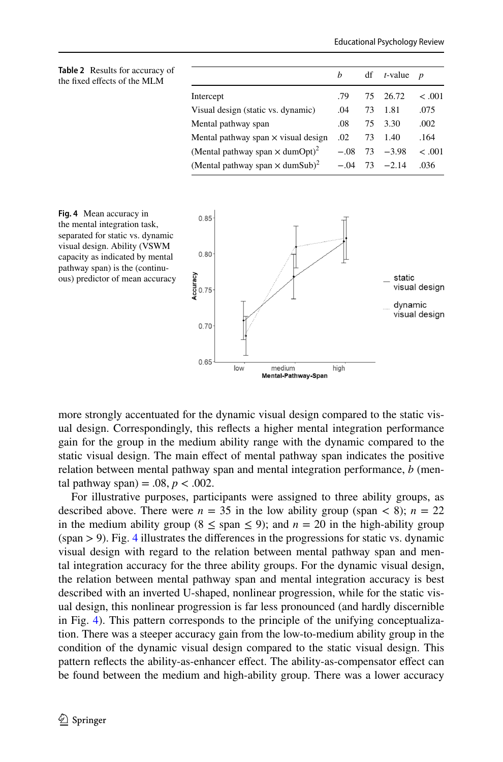<span id="page-15-0"></span>

| <b>Table 2</b> Results for accuracy of<br>the fixed effects of the MLM |                                                    | h      | df | $t$ -value $p$    |         |
|------------------------------------------------------------------------|----------------------------------------------------|--------|----|-------------------|---------|
|                                                                        | Intercept                                          | .79    |    | 75 26.72          | < 0.001 |
|                                                                        | Visual design (static vs. dynamic)                 | .04    | 73 | 1.81              | .075    |
|                                                                        | Mental pathway span                                | .08    | 75 | 3.30              | .002    |
|                                                                        | Mental pathway span $\times$ visual design         | .02    | 73 | 1.40              | .164    |
|                                                                        | (Mental pathway span $\times$ dumOpt) <sup>2</sup> |        |    | $-.08$ 73 $-.398$ | < 0.001 |
|                                                                        | (Mental pathway span $\times$ dumSub) <sup>2</sup> | $-.04$ | 73 | $-2.14$           | .036    |
|                                                                        |                                                    |        |    |                   |         |



<span id="page-15-1"></span>**Fig. 4** Mean accuracy in the mental integration task, separated for static vs. dynamic visual design. Ability (VSWM capacity as indicated by mental pathway span) is the (continuous) predictor of mean accuracy

more strongly accentuated for the dynamic visual design compared to the static visual design. Correspondingly, this refects a higher mental integration performance gain for the group in the medium ability range with the dynamic compared to the static visual design. The main efect of mental pathway span indicates the positive relation between mental pathway span and mental integration performance, *b* (mental pathway span) =  $.08, p < .002$ .

For illustrative purposes, participants were assigned to three ability groups, as described above. There were  $n = 35$  in the low ability group (span < 8);  $n = 22$ in the medium ability group  $(8 \leq$  span  $\leq$  9); and  $n = 20$  in the high-ability group  $(span > 9)$ . Fig. [4](#page-15-1) illustrates the differences in the progressions for static vs. dynamic visual design with regard to the relation between mental pathway span and mental integration accuracy for the three ability groups. For the dynamic visual design, the relation between mental pathway span and mental integration accuracy is best described with an inverted U-shaped, nonlinear progression, while for the static visual design, this nonlinear progression is far less pronounced (and hardly discernible in Fig. [4](#page-15-1)). This pattern corresponds to the principle of the unifying conceptualization. There was a steeper accuracy gain from the low-to-medium ability group in the condition of the dynamic visual design compared to the static visual design. This pattern refects the ability-as-enhancer efect. The ability-as-compensator efect can be found between the medium and high-ability group. There was a lower accuracy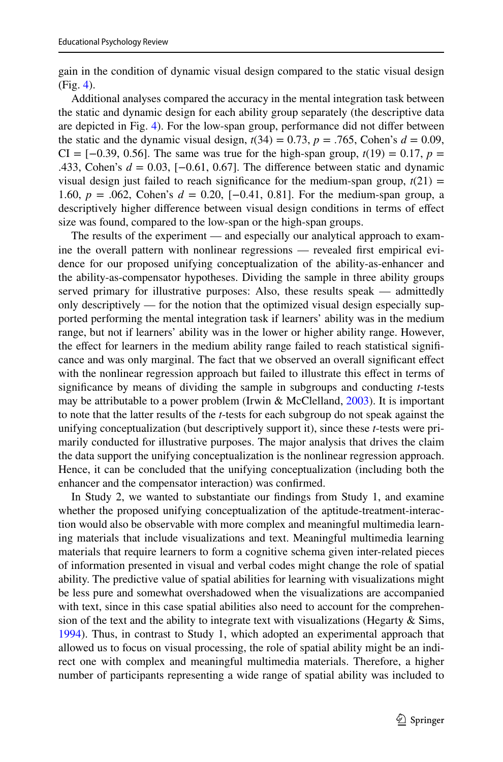gain in the condition of dynamic visual design compared to the static visual design (Fig. [4\)](#page-15-1).

Additional analyses compared the accuracy in the mental integration task between the static and dynamic design for each ability group separately (the descriptive data are depicted in Fig. [4](#page-15-1)). For the low-span group, performance did not difer between the static and the dynamic visual design,  $t(34) = 0.73$ ,  $p = .765$ , Cohen's  $d = 0.09$ ,  $CI = [-0.39, 0.56]$ . The same was true for the high-span group,  $t(19) = 0.17$ ,  $p =$ .433, Cohen's *d* = 0.03, [−0.61, 0.67]. The diference between static and dynamic visual design just failed to reach significance for the medium-span group,  $t(21)$  = 1.60, *p* = .062, Cohen's *d* = 0.20, [−0.41, 0.81]. For the medium-span group, a descriptively higher diference between visual design conditions in terms of efect size was found, compared to the low-span or the high-span groups.

The results of the experiment — and especially our analytical approach to examine the overall pattern with nonlinear regressions — revealed frst empirical evidence for our proposed unifying conceptualization of the ability-as-enhancer and the ability-as-compensator hypotheses. Dividing the sample in three ability groups served primary for illustrative purposes: Also, these results speak — admittedly only descriptively — for the notion that the optimized visual design especially supported performing the mental integration task if learners' ability was in the medium range, but not if learners' ability was in the lower or higher ability range. However, the effect for learners in the medium ability range failed to reach statistical significance and was only marginal. The fact that we observed an overall signifcant efect with the nonlinear regression approach but failed to illustrate this efect in terms of signifcance by means of dividing the sample in subgroups and conducting *t*-tests may be attributable to a power problem (Irwin & McClelland, [2003\)](#page-30-18). It is important to note that the latter results of the *t*-tests for each subgroup do not speak against the unifying conceptualization (but descriptively support it), since these *t*-tests were primarily conducted for illustrative purposes. The major analysis that drives the claim the data support the unifying conceptualization is the nonlinear regression approach. Hence, it can be concluded that the unifying conceptualization (including both the enhancer and the compensator interaction) was confrmed.

In Study 2, we wanted to substantiate our fndings from Study 1, and examine whether the proposed unifying conceptualization of the aptitude-treatment-interaction would also be observable with more complex and meaningful multimedia learning materials that include visualizations and text. Meaningful multimedia learning materials that require learners to form a cognitive schema given inter-related pieces of information presented in visual and verbal codes might change the role of spatial ability. The predictive value of spatial abilities for learning with visualizations might be less pure and somewhat overshadowed when the visualizations are accompanied with text, since in this case spatial abilities also need to account for the comprehension of the text and the ability to integrate text with visualizations (Hegarty  $\&$  Sims, [1994](#page-30-19)). Thus, in contrast to Study 1, which adopted an experimental approach that allowed us to focus on visual processing, the role of spatial ability might be an indirect one with complex and meaningful multimedia materials. Therefore, a higher number of participants representing a wide range of spatial ability was included to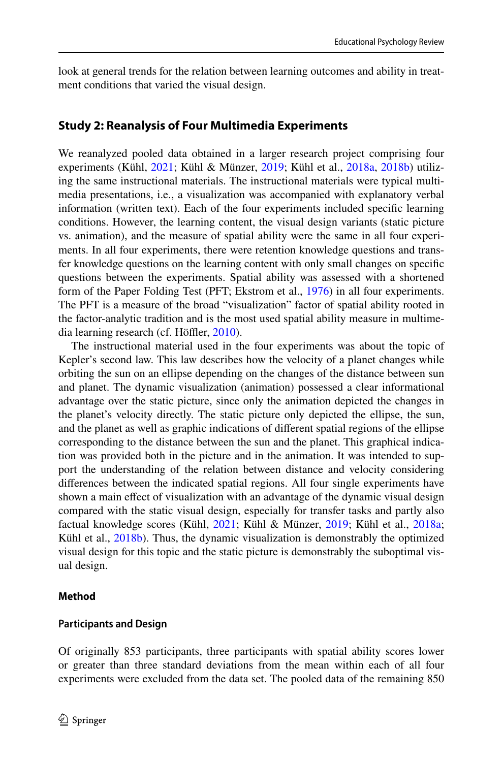look at general trends for the relation between learning outcomes and ability in treatment conditions that varied the visual design.

# **Study 2: Reanalysis of Four Multimedia Experiments**

We reanalyzed pooled data obtained in a larger research project comprising four experiments (Kühl, [2021;](#page-30-20) Kühl & Münzer, [2019](#page-31-18); Kühl et al., [2018a](#page-31-3), [2018b\)](#page-31-11) utilizing the same instructional materials. The instructional materials were typical multimedia presentations, i.e., a visualization was accompanied with explanatory verbal information (written text). Each of the four experiments included specifc learning conditions. However, the learning content, the visual design variants (static picture vs. animation), and the measure of spatial ability were the same in all four experiments. In all four experiments, there were retention knowledge questions and transfer knowledge questions on the learning content with only small changes on specifc questions between the experiments. Spatial ability was assessed with a shortened form of the Paper Folding Test (PFT; Ekstrom et al., [1976\)](#page-30-21) in all four experiments. The PFT is a measure of the broad "visualization" factor of spatial ability rooted in the factor-analytic tradition and is the most used spatial ability measure in multime-dia learning research (cf. Höffler, [2010\)](#page-30-2).

The instructional material used in the four experiments was about the topic of Kepler's second law. This law describes how the velocity of a planet changes while orbiting the sun on an ellipse depending on the changes of the distance between sun and planet. The dynamic visualization (animation) possessed a clear informational advantage over the static picture, since only the animation depicted the changes in the planet's velocity directly. The static picture only depicted the ellipse, the sun, and the planet as well as graphic indications of diferent spatial regions of the ellipse corresponding to the distance between the sun and the planet. This graphical indication was provided both in the picture and in the animation. It was intended to support the understanding of the relation between distance and velocity considering diferences between the indicated spatial regions. All four single experiments have shown a main efect of visualization with an advantage of the dynamic visual design compared with the static visual design, especially for transfer tasks and partly also factual knowledge scores (Kühl, [2021](#page-30-20); Kühl & Münzer, [2019;](#page-31-18) Kühl et al., [2018a;](#page-31-11) Kühl et al., [2018b](#page-31-11)). Thus, the dynamic visualization is demonstrably the optimized visual design for this topic and the static picture is demonstrably the suboptimal visual design.

### **Method**

#### **Participants and Design**

Of originally 853 participants, three participants with spatial ability scores lower or greater than three standard deviations from the mean within each of all four experiments were excluded from the data set. The pooled data of the remaining 850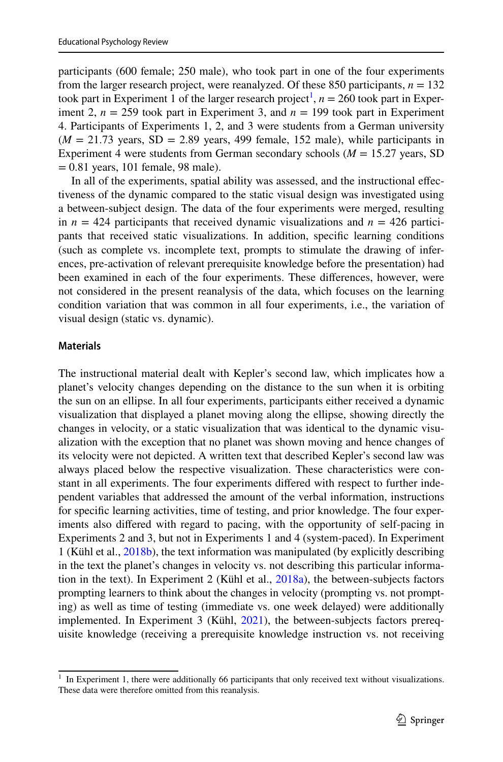participants (600 female; 250 male), who took part in one of the four experiments from the larger research project, were reanalyzed. Of these 850 participants,  $n = 132$ took part in Experiment [1](#page-18-0) of the larger research project<sup>1</sup>,  $n = 260$  took part in Experiment 2,  $n = 259$  took part in Experiment 3, and  $n = 199$  took part in Experiment 4. Participants of Experiments 1, 2, and 3 were students from a German university  $(M = 21.73$  years,  $SD = 2.89$  years, 499 female, 152 male), while participants in Experiment 4 were students from German secondary schools (*M* = 15.27 years, SD = 0.81 years, 101 female, 98 male).

In all of the experiments, spatial ability was assessed, and the instructional efectiveness of the dynamic compared to the static visual design was investigated using a between-subject design. The data of the four experiments were merged, resulting in  $n = 424$  participants that received dynamic visualizations and  $n = 426$  participants that received static visualizations. In addition, specifc learning conditions (such as complete vs. incomplete text, prompts to stimulate the drawing of inferences, pre-activation of relevant prerequisite knowledge before the presentation) had been examined in each of the four experiments. These diferences, however, were not considered in the present reanalysis of the data, which focuses on the learning condition variation that was common in all four experiments, i.e., the variation of visual design (static vs. dynamic).

# **Materials**

The instructional material dealt with Kepler's second law, which implicates how a planet's velocity changes depending on the distance to the sun when it is orbiting the sun on an ellipse. In all four experiments, participants either received a dynamic visualization that displayed a planet moving along the ellipse, showing directly the changes in velocity, or a static visualization that was identical to the dynamic visualization with the exception that no planet was shown moving and hence changes of its velocity were not depicted. A written text that described Kepler's second law was always placed below the respective visualization. These characteristics were constant in all experiments. The four experiments difered with respect to further independent variables that addressed the amount of the verbal information, instructions for specifc learning activities, time of testing, and prior knowledge. The four experiments also difered with regard to pacing, with the opportunity of self-pacing in Experiments 2 and 3, but not in Experiments 1 and 4 (system-paced). In Experiment 1 (Kühl et al., [2018b\)](#page-31-11), the text information was manipulated (by explicitly describing in the text the planet's changes in velocity vs. not describing this particular information in the text). In Experiment 2 (Kühl et al., [2018a](#page-31-3)), the between-subjects factors prompting learners to think about the changes in velocity (prompting vs. not prompting) as well as time of testing (immediate vs. one week delayed) were additionally implemented. In Experiment 3 (Kühl, [2021\)](#page-30-20), the between-subjects factors prerequisite knowledge (receiving a prerequisite knowledge instruction vs. not receiving

<span id="page-18-0"></span> $1$  In Experiment 1, there were additionally 66 participants that only received text without visualizations. These data were therefore omitted from this reanalysis.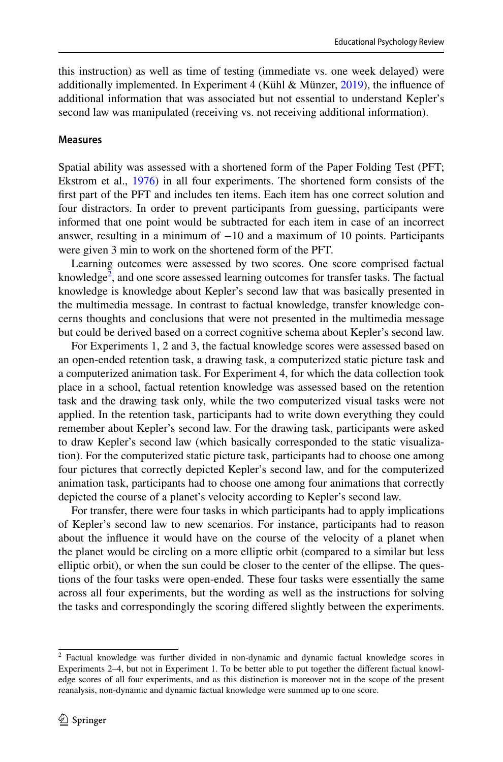this instruction) as well as time of testing (immediate vs. one week delayed) were additionally implemented. In Experiment 4 (Kühl & Münzer,  $2019$ ), the influence of additional information that was associated but not essential to understand Kepler's second law was manipulated (receiving vs. not receiving additional information).

#### **Measures**

Spatial ability was assessed with a shortened form of the Paper Folding Test (PFT; Ekstrom et al., [1976\)](#page-30-21) in all four experiments. The shortened form consists of the frst part of the PFT and includes ten items. Each item has one correct solution and four distractors. In order to prevent participants from guessing, participants were informed that one point would be subtracted for each item in case of an incorrect answer, resulting in a minimum of −10 and a maximum of 10 points. Participants were given 3 min to work on the shortened form of the PFT.

Learning outcomes were assessed by two scores. One score comprised factual knowledge<sup>2</sup>, and one score assessed learning outcomes for transfer tasks. The factual knowledge is knowledge about Kepler's second law that was basically presented in the multimedia message. In contrast to factual knowledge, transfer knowledge concerns thoughts and conclusions that were not presented in the multimedia message but could be derived based on a correct cognitive schema about Kepler's second law.

For Experiments 1, 2 and 3, the factual knowledge scores were assessed based on an open-ended retention task, a drawing task, a computerized static picture task and a computerized animation task. For Experiment 4, for which the data collection took place in a school, factual retention knowledge was assessed based on the retention task and the drawing task only, while the two computerized visual tasks were not applied. In the retention task, participants had to write down everything they could remember about Kepler's second law. For the drawing task, participants were asked to draw Kepler's second law (which basically corresponded to the static visualization). For the computerized static picture task, participants had to choose one among four pictures that correctly depicted Kepler's second law, and for the computerized animation task, participants had to choose one among four animations that correctly depicted the course of a planet's velocity according to Kepler's second law.

For transfer, there were four tasks in which participants had to apply implications of Kepler's second law to new scenarios. For instance, participants had to reason about the infuence it would have on the course of the velocity of a planet when the planet would be circling on a more elliptic orbit (compared to a similar but less elliptic orbit), or when the sun could be closer to the center of the ellipse. The questions of the four tasks were open-ended. These four tasks were essentially the same across all four experiments, but the wording as well as the instructions for solving the tasks and correspondingly the scoring difered slightly between the experiments.

<span id="page-19-0"></span><sup>2</sup> Factual knowledge was further divided in non-dynamic and dynamic factual knowledge scores in Experiments 2–4, but not in Experiment 1. To be better able to put together the diferent factual knowledge scores of all four experiments, and as this distinction is moreover not in the scope of the present reanalysis, non-dynamic and dynamic factual knowledge were summed up to one score.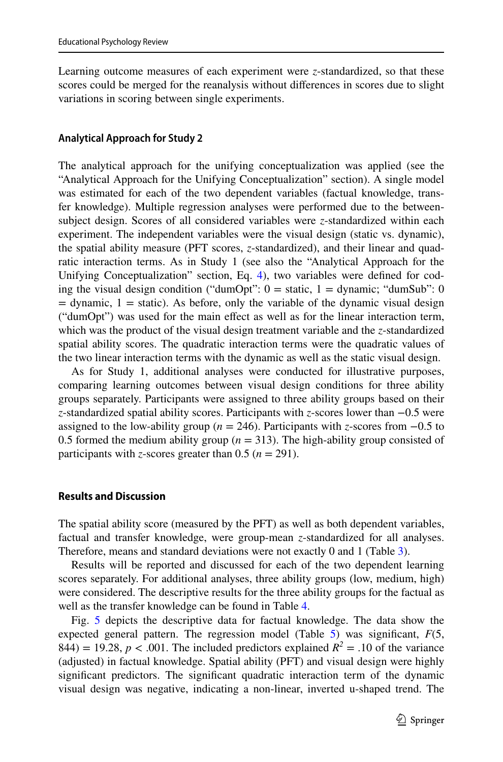Learning outcome measures of each experiment were *z*-standardized, so that these scores could be merged for the reanalysis without diferences in scores due to slight variations in scoring between single experiments.

### **Analytical Approach for Study 2**

The analytical approach for the unifying conceptualization was applied (see the "Analytical Approach for the Unifying Conceptualization" section). A single model was estimated for each of the two dependent variables (factual knowledge, transfer knowledge). Multiple regression analyses were performed due to the betweensubject design. Scores of all considered variables were *z*-standardized within each experiment. The independent variables were the visual design (static vs. dynamic), the spatial ability measure (PFT scores, *z*-standardized), and their linear and quadratic interaction terms. As in Study 1 (see also the "Analytical Approach for the Unifying Conceptualization" section, Eq. [4\)](#page-7-2), two variables were defned for coding the visual design condition ("dumOpt":  $0 =$  static,  $1 =$  dynamic; "dumSub": 0  $=$  dynamic,  $1 =$  static). As before, only the variable of the dynamic visual design ("dumOpt") was used for the main efect as well as for the linear interaction term, which was the product of the visual design treatment variable and the *z*-standardized spatial ability scores. The quadratic interaction terms were the quadratic values of the two linear interaction terms with the dynamic as well as the static visual design.

As for Study 1, additional analyses were conducted for illustrative purposes, comparing learning outcomes between visual design conditions for three ability groups separately. Participants were assigned to three ability groups based on their *z*-standardized spatial ability scores. Participants with *z*-scores lower than −0.5 were assigned to the low-ability group (*n* = 246). Participants with *z*-scores from −0.5 to 0.5 formed the medium ability group  $(n = 313)$ . The high-ability group consisted of participants with *z*-scores greater than 0.5 ( $n = 291$ ).

#### **Results and Discussion**

The spatial ability score (measured by the PFT) as well as both dependent variables, factual and transfer knowledge, were group-mean *z*-standardized for all analyses. Therefore, means and standard deviations were not exactly 0 and 1 (Table [3\)](#page-21-0).

Results will be reported and discussed for each of the two dependent learning scores separately. For additional analyses, three ability groups (low, medium, high) were considered. The descriptive results for the three ability groups for the factual as well as the transfer knowledge can be found in Table [4.](#page-21-1)

Fig. [5](#page-21-2) depicts the descriptive data for factual knowledge. The data show the expected general pattern. The regression model (Table [5\)](#page-21-3) was signifcant, *F*(5, 844) = 19.28,  $p < .001$ . The included predictors explained  $R^2 = .10$  of the variance (adjusted) in factual knowledge. Spatial ability (PFT) and visual design were highly signifcant predictors. The signifcant quadratic interaction term of the dynamic visual design was negative, indicating a non-linear, inverted u-shaped trend. The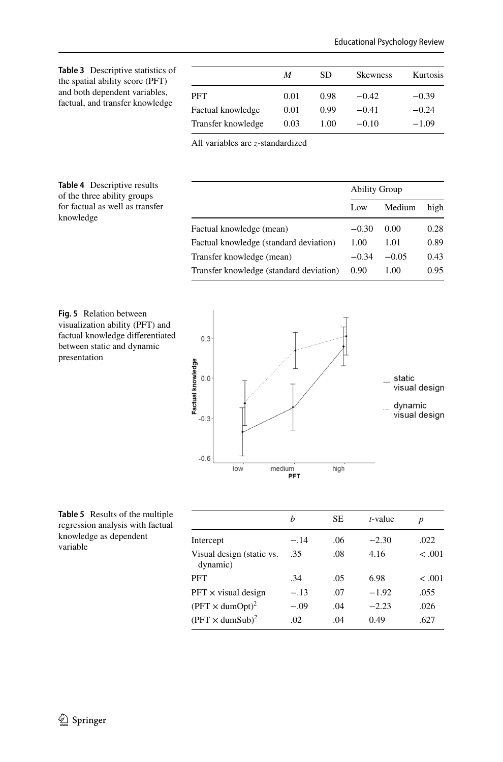<span id="page-21-0"></span>

| <b>Table 3</b> Descriptive statistics of<br>the spatial ability score (PFT)<br>and both dependent variables,<br>factual, and transfer knowledge |                    | M    | SD   | <b>Skewness</b> | Kurtosis |
|-------------------------------------------------------------------------------------------------------------------------------------------------|--------------------|------|------|-----------------|----------|
|                                                                                                                                                 | <b>PFT</b>         | 0.01 | 0.98 | $-0.42$         | $-0.39$  |
|                                                                                                                                                 | Factual knowledge  | 0.01 | 0.99 | $-0.41$         | $-0.24$  |
|                                                                                                                                                 | Transfer knowledge | 0.03 | 1.00 | $-0.10$         | $-1.09$  |

All variables are *z*-standardized

#### <span id="page-21-1"></span>**Table 4** Descriptive results of the three ability groups for factual as well as transfer knowledge

| high |
|------|
| 0.28 |
| 0.89 |
| 0.43 |
| 0.95 |
|      |

<span id="page-21-2"></span>



<span id="page-21-3"></span>

|                                       | h      | <b>SE</b> | t-value | p       |
|---------------------------------------|--------|-----------|---------|---------|
| Intercept                             | $-.14$ | .06       | $-2.30$ | .022    |
| Visual design (static vs.<br>dynamic) | .35    | .08       | 4.16    | $-.001$ |
| PFT                                   | .34    | .05       | 6.98    | < 0.01  |
| $PFT \times$ visual design            | $-.13$ | .07       | $-1.92$ | .055    |
| $(PFT \times \text{dumOpt})^2$        | $-.09$ | .04       | $-2.23$ | .026    |
| $(PFT \times$ dumSub) <sup>2</sup>    | .02    | .04       | 0.49    | .627    |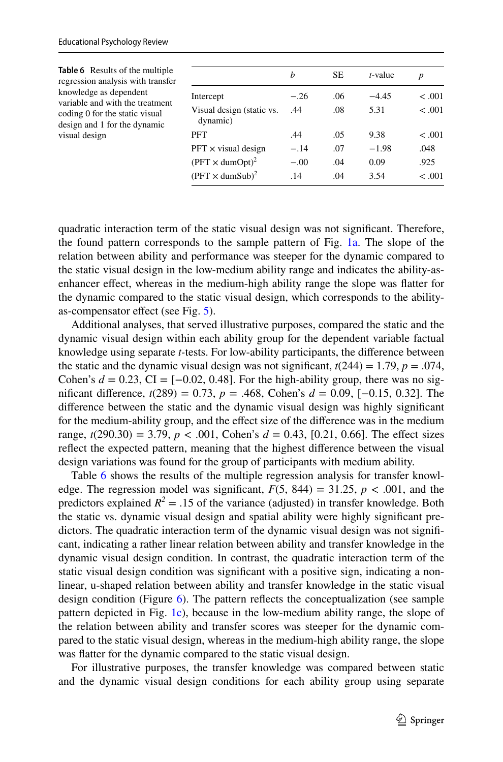<span id="page-22-0"></span>

| Table 6 Results of the multiple<br>regression analysis with transfer<br>knowledge as dependent<br>variable and with the treatment<br>coding 0 for the static visual<br>design and 1 for the dynamic<br>visual design |                                       | b      | <b>SE</b> | $t$ -value | $\boldsymbol{p}$ |
|----------------------------------------------------------------------------------------------------------------------------------------------------------------------------------------------------------------------|---------------------------------------|--------|-----------|------------|------------------|
|                                                                                                                                                                                                                      | Intercept                             | $-.26$ | .06       | $-4.45$    | $-.001$          |
|                                                                                                                                                                                                                      | Visual design (static vs.<br>dynamic) | .44    | .08       | 5.31       | < .001           |
|                                                                                                                                                                                                                      | PFT                                   | .44    | .05       | 9.38       | < .001           |
|                                                                                                                                                                                                                      | $PFT \times$ visual design            | $-.14$ | .07       | $-1.98$    | .048             |
|                                                                                                                                                                                                                      | $(PFT \times \text{dumOpt})^2$        | $-.00$ | .04       | 0.09       | .925             |
|                                                                                                                                                                                                                      | $(PFT \times$ dumSub) <sup>2</sup>    | .14    | .04       | 3.54       | < 0.001          |

quadratic interaction term of the static visual design was not signifcant. Therefore, the found pattern corresponds to the sample pattern of Fig. [1a.](#page-5-0) The slope of the relation between ability and performance was steeper for the dynamic compared to the static visual design in the low-medium ability range and indicates the ability-asenhancer efect, whereas in the medium-high ability range the slope was fatter for the dynamic compared to the static visual design, which corresponds to the abilityas-compensator efect (see Fig. [5\)](#page-21-2).

Additional analyses, that served illustrative purposes, compared the static and the dynamic visual design within each ability group for the dependent variable factual knowledge using separate *t-*tests. For low-ability participants, the diference between the static and the dynamic visual design was not significant,  $t(244) = 1.79$ ,  $p = .074$ , Cohen's  $d = 0.23$ , CI = [−0.02, 0.48]. For the high-ability group, there was no signifcant diference, *t*(289) = 0.73, *p* = .468, Cohen's *d* = 0.09, [−0.15, 0.32]. The diference between the static and the dynamic visual design was highly signifcant for the medium-ability group, and the efect size of the diference was in the medium range,  $t(290.30) = 3.79$ ,  $p < .001$ , Cohen's  $d = 0.43$ , [0.21, 0.66]. The effect sizes refect the expected pattern, meaning that the highest diference between the visual design variations was found for the group of participants with medium ability.

Table [6](#page-22-0) shows the results of the multiple regression analysis for transfer knowledge. The regression model was significant,  $F(5, 844) = 31.25$ ,  $p < .001$ , and the predictors explained  $R^2 = .15$  of the variance (adjusted) in transfer knowledge. Both the static vs. dynamic visual design and spatial ability were highly signifcant predictors. The quadratic interaction term of the dynamic visual design was not signifcant, indicating a rather linear relation between ability and transfer knowledge in the dynamic visual design condition. In contrast, the quadratic interaction term of the static visual design condition was signifcant with a positive sign, indicating a nonlinear, u-shaped relation between ability and transfer knowledge in the static visual design condition (Figure [6](#page-23-0)). The pattern refects the conceptualization (see sample pattern depicted in Fig. [1c\)](#page-5-0), because in the low-medium ability range, the slope of the relation between ability and transfer scores was steeper for the dynamic compared to the static visual design, whereas in the medium-high ability range, the slope was fatter for the dynamic compared to the static visual design.

For illustrative purposes, the transfer knowledge was compared between static and the dynamic visual design conditions for each ability group using separate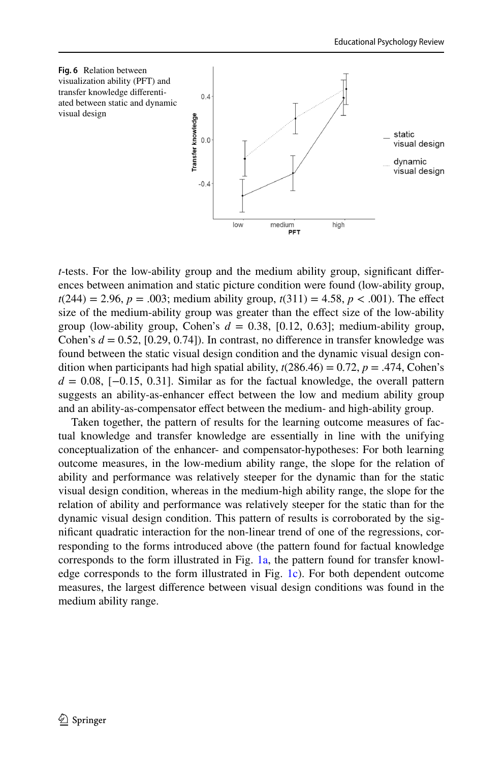<span id="page-23-0"></span>

*t*-tests. For the low-ability group and the medium ability group, signifcant diferences between animation and static picture condition were found (low-ability group,  $t(244) = 2.96, p = .003$ ; medium ability group,  $t(311) = 4.58, p < .001$ ). The effect size of the medium-ability group was greater than the efect size of the low-ability group (low-ability group, Cohen's  $d = 0.38$ , [0.12, 0.63]; medium-ability group, Cohen's  $d = 0.52$ , [0.29, 0.74]). In contrast, no difference in transfer knowledge was found between the static visual design condition and the dynamic visual design condition when participants had high spatial ability,  $t(286.46) = 0.72$ ,  $p = .474$ , Cohen's  $d = 0.08$ , [-0.15, 0.31]. Similar as for the factual knowledge, the overall pattern suggests an ability-as-enhancer effect between the low and medium ability group and an ability-as-compensator efect between the medium- and high-ability group.

Taken together, the pattern of results for the learning outcome measures of factual knowledge and transfer knowledge are essentially in line with the unifying conceptualization of the enhancer- and compensator-hypotheses: For both learning outcome measures, in the low-medium ability range, the slope for the relation of ability and performance was relatively steeper for the dynamic than for the static visual design condition, whereas in the medium-high ability range, the slope for the relation of ability and performance was relatively steeper for the static than for the dynamic visual design condition. This pattern of results is corroborated by the signifcant quadratic interaction for the non-linear trend of one of the regressions, corresponding to the forms introduced above (the pattern found for factual knowledge corresponds to the form illustrated in Fig. [1a](#page-5-0), the pattern found for transfer knowledge corresponds to the form illustrated in Fig. [1c](#page-5-0)). For both dependent outcome measures, the largest diference between visual design conditions was found in the medium ability range.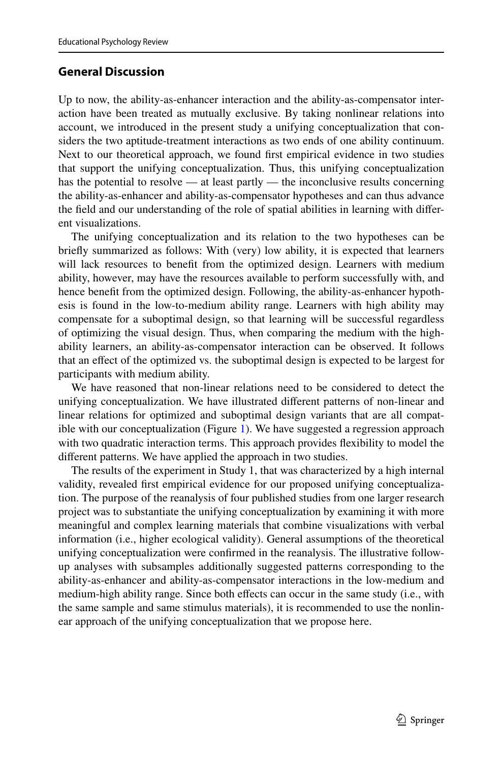# **General Discussion**

Up to now, the ability-as-enhancer interaction and the ability-as-compensator interaction have been treated as mutually exclusive. By taking nonlinear relations into account, we introduced in the present study a unifying conceptualization that considers the two aptitude-treatment interactions as two ends of one ability continuum. Next to our theoretical approach, we found frst empirical evidence in two studies that support the unifying conceptualization. Thus, this unifying conceptualization has the potential to resolve — at least partly — the inconclusive results concerning the ability-as-enhancer and ability-as-compensator hypotheses and can thus advance the feld and our understanding of the role of spatial abilities in learning with diferent visualizations.

The unifying conceptualization and its relation to the two hypotheses can be briefy summarized as follows: With (very) low ability, it is expected that learners will lack resources to beneft from the optimized design. Learners with medium ability, however, may have the resources available to perform successfully with, and hence beneft from the optimized design. Following, the ability-as-enhancer hypothesis is found in the low-to-medium ability range. Learners with high ability may compensate for a suboptimal design, so that learning will be successful regardless of optimizing the visual design. Thus, when comparing the medium with the highability learners, an ability-as-compensator interaction can be observed. It follows that an efect of the optimized vs. the suboptimal design is expected to be largest for participants with medium ability.

We have reasoned that non-linear relations need to be considered to detect the unifying conceptualization. We have illustrated diferent patterns of non-linear and linear relations for optimized and suboptimal design variants that are all compatible with our conceptualization (Figure [1\)](#page-5-0). We have suggested a regression approach with two quadratic interaction terms. This approach provides fexibility to model the diferent patterns. We have applied the approach in two studies.

The results of the experiment in Study 1, that was characterized by a high internal validity, revealed frst empirical evidence for our proposed unifying conceptualization. The purpose of the reanalysis of four published studies from one larger research project was to substantiate the unifying conceptualization by examining it with more meaningful and complex learning materials that combine visualizations with verbal information (i.e., higher ecological validity). General assumptions of the theoretical unifying conceptualization were confrmed in the reanalysis. The illustrative followup analyses with subsamples additionally suggested patterns corresponding to the ability-as-enhancer and ability-as-compensator interactions in the low-medium and medium-high ability range. Since both efects can occur in the same study (i.e., with the same sample and same stimulus materials), it is recommended to use the nonlinear approach of the unifying conceptualization that we propose here.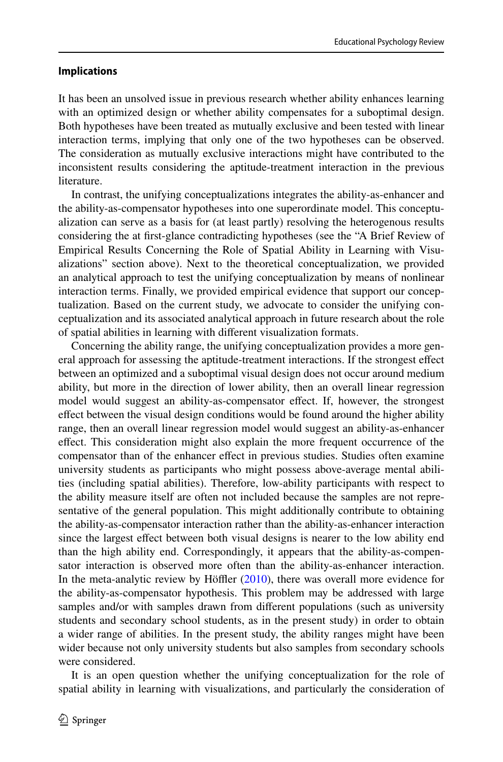#### **Implications**

It has been an unsolved issue in previous research whether ability enhances learning with an optimized design or whether ability compensates for a suboptimal design. Both hypotheses have been treated as mutually exclusive and been tested with linear interaction terms, implying that only one of the two hypotheses can be observed. The consideration as mutually exclusive interactions might have contributed to the inconsistent results considering the aptitude-treatment interaction in the previous literature.

In contrast, the unifying conceptualizations integrates the ability-as-enhancer and the ability-as-compensator hypotheses into one superordinate model. This conceptualization can serve as a basis for (at least partly) resolving the heterogenous results considering the at frst-glance contradicting hypotheses (see the "A Brief Review of Empirical Results Concerning the Role of Spatial Ability in Learning with Visualizations" section above). Next to the theoretical conceptualization, we provided an analytical approach to test the unifying conceptualization by means of nonlinear interaction terms. Finally, we provided empirical evidence that support our conceptualization. Based on the current study, we advocate to consider the unifying conceptualization and its associated analytical approach in future research about the role of spatial abilities in learning with diferent visualization formats.

Concerning the ability range, the unifying conceptualization provides a more general approach for assessing the aptitude-treatment interactions. If the strongest efect between an optimized and a suboptimal visual design does not occur around medium ability, but more in the direction of lower ability, then an overall linear regression model would suggest an ability-as-compensator effect. If, however, the strongest efect between the visual design conditions would be found around the higher ability range, then an overall linear regression model would suggest an ability-as-enhancer efect. This consideration might also explain the more frequent occurrence of the compensator than of the enhancer efect in previous studies. Studies often examine university students as participants who might possess above-average mental abilities (including spatial abilities). Therefore, low-ability participants with respect to the ability measure itself are often not included because the samples are not representative of the general population. This might additionally contribute to obtaining the ability-as-compensator interaction rather than the ability-as-enhancer interaction since the largest efect between both visual designs is nearer to the low ability end than the high ability end. Correspondingly, it appears that the ability-as-compensator interaction is observed more often than the ability-as-enhancer interaction. In the meta-analytic review by Höffler  $(2010)$  $(2010)$ , there was overall more evidence for the ability-as-compensator hypothesis. This problem may be addressed with large samples and/or with samples drawn from diferent populations (such as university students and secondary school students, as in the present study) in order to obtain a wider range of abilities. In the present study, the ability ranges might have been wider because not only university students but also samples from secondary schools were considered.

It is an open question whether the unifying conceptualization for the role of spatial ability in learning with visualizations, and particularly the consideration of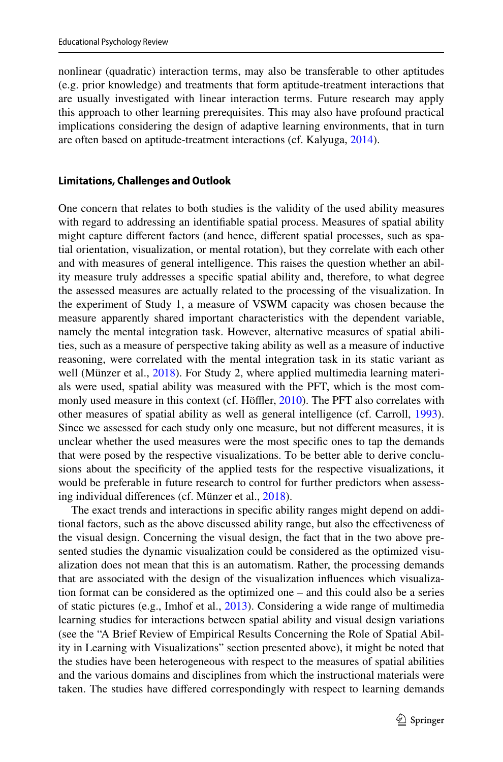nonlinear (quadratic) interaction terms, may also be transferable to other aptitudes (e.g. prior knowledge) and treatments that form aptitude-treatment interactions that are usually investigated with linear interaction terms. Future research may apply this approach to other learning prerequisites. This may also have profound practical implications considering the design of adaptive learning environments, that in turn are often based on aptitude-treatment interactions (cf. Kalyuga, [2014](#page-30-22)).

#### **Limitations, Challenges and Outlook**

One concern that relates to both studies is the validity of the used ability measures with regard to addressing an identifable spatial process. Measures of spatial ability might capture diferent factors (and hence, diferent spatial processes, such as spatial orientation, visualization, or mental rotation), but they correlate with each other and with measures of general intelligence. This raises the question whether an ability measure truly addresses a specifc spatial ability and, therefore, to what degree the assessed measures are actually related to the processing of the visualization. In the experiment of Study 1, a measure of VSWM capacity was chosen because the measure apparently shared important characteristics with the dependent variable, namely the mental integration task. However, alternative measures of spatial abilities, such as a measure of perspective taking ability as well as a measure of inductive reasoning, were correlated with the mental integration task in its static variant as well (Münzer et al., [2018](#page-31-20)). For Study 2, where applied multimedia learning materials were used, spatial ability was measured with the PFT, which is the most com-monly used measure in this context (cf. Höffler, [2010\)](#page-30-2). The PFT also correlates with other measures of spatial ability as well as general intelligence (cf. Carroll, [1993\)](#page-29-0). Since we assessed for each study only one measure, but not diferent measures, it is unclear whether the used measures were the most specifc ones to tap the demands that were posed by the respective visualizations. To be better able to derive conclusions about the specifcity of the applied tests for the respective visualizations, it would be preferable in future research to control for further predictors when assessing individual diferences (cf. Münzer et al., [2018\)](#page-31-20).

The exact trends and interactions in specifc ability ranges might depend on additional factors, such as the above discussed ability range, but also the efectiveness of the visual design. Concerning the visual design, the fact that in the two above presented studies the dynamic visualization could be considered as the optimized visualization does not mean that this is an automatism. Rather, the processing demands that are associated with the design of the visualization infuences which visualization format can be considered as the optimized one – and this could also be a series of static pictures (e.g., Imhof et al., [2013](#page-30-23)). Considering a wide range of multimedia learning studies for interactions between spatial ability and visual design variations (see the "A Brief Review of Empirical Results Concerning the Role of Spatial Ability in Learning with Visualizations" section presented above), it might be noted that the studies have been heterogeneous with respect to the measures of spatial abilities and the various domains and disciplines from which the instructional materials were taken. The studies have difered correspondingly with respect to learning demands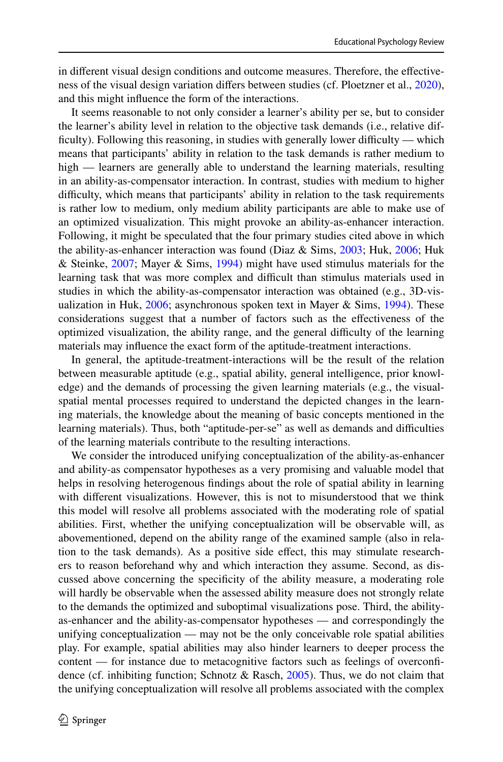in diferent visual design conditions and outcome measures. Therefore, the efectiveness of the visual design variation difers between studies (cf. Ploetzner et al., [2020\)](#page-31-9), and this might infuence the form of the interactions.

It seems reasonable to not only consider a learner's ability per se, but to consider the learner's ability level in relation to the objective task demands (i.e., relative difficulty). Following this reasoning, in studies with generally lower difficulty — which means that participants' ability in relation to the task demands is rather medium to high — learners are generally able to understand the learning materials, resulting in an ability-as-compensator interaction. In contrast, studies with medium to higher difficulty, which means that participants' ability in relation to the task requirements is rather low to medium, only medium ability participants are able to make use of an optimized visualization. This might provoke an ability-as-enhancer interaction. Following, it might be speculated that the four primary studies cited above in which the ability-as-enhancer interaction was found (Diaz & Sims, [2003;](#page-30-9) Huk, [2006](#page-30-10); Huk & Steinke, [2007](#page-30-11); Mayer & Sims, [1994\)](#page-31-2) might have used stimulus materials for the learning task that was more complex and difficult than stimulus materials used in studies in which the ability-as-compensator interaction was obtained (e.g., 3D-vis-ualization in Huk, [2006](#page-30-10); asynchronous spoken text in Mayer & Sims, [1994\)](#page-31-2). These considerations suggest that a number of factors such as the efectiveness of the optimized visualization, the ability range, and the general difficulty of the learning materials may infuence the exact form of the aptitude-treatment interactions.

In general, the aptitude-treatment-interactions will be the result of the relation between measurable aptitude (e.g., spatial ability, general intelligence, prior knowledge) and the demands of processing the given learning materials (e.g., the visualspatial mental processes required to understand the depicted changes in the learning materials, the knowledge about the meaning of basic concepts mentioned in the learning materials). Thus, both "aptitude-per-se" as well as demands and difculties of the learning materials contribute to the resulting interactions.

We consider the introduced unifying conceptualization of the ability-as-enhancer and ability-as compensator hypotheses as a very promising and valuable model that helps in resolving heterogenous fndings about the role of spatial ability in learning with diferent visualizations. However, this is not to misunderstood that we think this model will resolve all problems associated with the moderating role of spatial abilities. First, whether the unifying conceptualization will be observable will, as abovementioned, depend on the ability range of the examined sample (also in relation to the task demands). As a positive side efect, this may stimulate researchers to reason beforehand why and which interaction they assume. Second, as discussed above concerning the specifcity of the ability measure, a moderating role will hardly be observable when the assessed ability measure does not strongly relate to the demands the optimized and suboptimal visualizations pose. Third, the abilityas-enhancer and the ability-as-compensator hypotheses — and correspondingly the unifying conceptualization — may not be the only conceivable role spatial abilities play. For example, spatial abilities may also hinder learners to deeper process the content — for instance due to metacognitive factors such as feelings of overconfdence (cf. inhibiting function; Schnotz & Rasch, [2005\)](#page-32-4). Thus, we do not claim that the unifying conceptualization will resolve all problems associated with the complex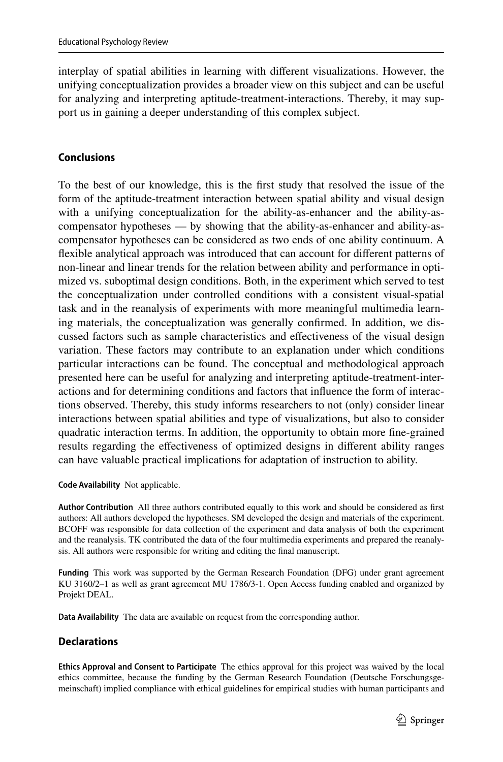interplay of spatial abilities in learning with diferent visualizations. However, the unifying conceptualization provides a broader view on this subject and can be useful for analyzing and interpreting aptitude-treatment-interactions. Thereby, it may support us in gaining a deeper understanding of this complex subject.

# **Conclusions**

To the best of our knowledge, this is the frst study that resolved the issue of the form of the aptitude-treatment interaction between spatial ability and visual design with a unifying conceptualization for the ability-as-enhancer and the ability-ascompensator hypotheses — by showing that the ability-as-enhancer and ability-ascompensator hypotheses can be considered as two ends of one ability continuum. A fexible analytical approach was introduced that can account for diferent patterns of non-linear and linear trends for the relation between ability and performance in optimized vs. suboptimal design conditions. Both, in the experiment which served to test the conceptualization under controlled conditions with a consistent visual-spatial task and in the reanalysis of experiments with more meaningful multimedia learning materials, the conceptualization was generally confrmed. In addition, we discussed factors such as sample characteristics and efectiveness of the visual design variation. These factors may contribute to an explanation under which conditions particular interactions can be found. The conceptual and methodological approach presented here can be useful for analyzing and interpreting aptitude-treatment-interactions and for determining conditions and factors that infuence the form of interactions observed. Thereby, this study informs researchers to not (only) consider linear interactions between spatial abilities and type of visualizations, but also to consider quadratic interaction terms. In addition, the opportunity to obtain more fne-grained results regarding the efectiveness of optimized designs in diferent ability ranges can have valuable practical implications for adaptation of instruction to ability.

**Code Availability** Not applicable.

**Author Contribution** All three authors contributed equally to this work and should be considered as frst authors: All authors developed the hypotheses. SM developed the design and materials of the experiment. BCOFF was responsible for data collection of the experiment and data analysis of both the experiment and the reanalysis. TK contributed the data of the four multimedia experiments and prepared the reanalysis. All authors were responsible for writing and editing the fnal manuscript.

**Funding** This work was supported by the German Research Foundation (DFG) under grant agreement KU 3160/2–1 as well as grant agreement MU 1786/3-1. Open Access funding enabled and organized by Projekt DEAL.

**Data Availability** The data are available on request from the corresponding author.

# **Declarations**

**Ethics Approval and Consent to Participate** The ethics approval for this project was waived by the local ethics committee, because the funding by the German Research Foundation (Deutsche Forschungsgemeinschaft) implied compliance with ethical guidelines for empirical studies with human participants and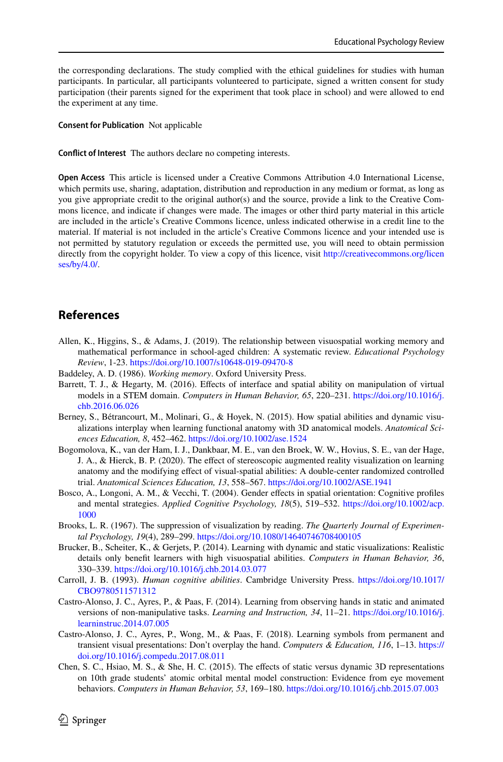the corresponding declarations. The study complied with the ethical guidelines for studies with human participants. In particular, all participants volunteered to participate, signed a written consent for study participation (their parents signed for the experiment that took place in school) and were allowed to end the experiment at any time.

**Consent for Publication** Not applicable

**Confict of Interest** The authors declare no competing interests.

**Open Access** This article is licensed under a Creative Commons Attribution 4.0 International License, which permits use, sharing, adaptation, distribution and reproduction in any medium or format, as long as you give appropriate credit to the original author(s) and the source, provide a link to the Creative Commons licence, and indicate if changes were made. The images or other third party material in this article are included in the article's Creative Commons licence, unless indicated otherwise in a credit line to the material. If material is not included in the article's Creative Commons licence and your intended use is not permitted by statutory regulation or exceeds the permitted use, you will need to obtain permission directly from the copyright holder. To view a copy of this licence, visit [http://creativecommons.org/licen](http://creativecommons.org/licenses/by/4.0/) [ses/by/4.0/](http://creativecommons.org/licenses/by/4.0/).

# **References**

- <span id="page-29-2"></span>Allen, K., Higgins, S., & Adams, J. (2019). The relationship between visuospatial working memory and mathematical performance in school-aged children: A systematic review. *Educational Psychology Review*, 1-23. <https://doi.org/10.1007/s10648-019-09470-8>
- <span id="page-29-1"></span>Baddeley, A. D. (1986). *Working memory*. Oxford University Press.
- <span id="page-29-3"></span>Barrett, T. J., & Hegarty, M. (2016). Efects of interface and spatial ability on manipulation of virtual models in a STEM domain. *Computers in Human Behavior, 65*, 220–231. [https://doi.org/10.1016/j.](https://doi.org/10.1016/j.chb.2016.06.026) [chb.2016.06.026](https://doi.org/10.1016/j.chb.2016.06.026)
- <span id="page-29-4"></span>Berney, S., Bétrancourt, M., Molinari, G., & Hoyek, N. (2015). How spatial abilities and dynamic visualizations interplay when learning functional anatomy with 3D anatomical models. *Anatomical Sciences Education, 8*, 452–462. <https://doi.org/10.1002/ase.1524>
- <span id="page-29-5"></span>Bogomolova, K., van der Ham, I. J., Dankbaar, M. E., van den Broek, W. W., Hovius, S. E., van der Hage, J. A., & Hierck, B. P. (2020). The effect of stereoscopic augmented reality visualization on learning anatomy and the modifying efect of visual-spatial abilities: A double-center randomized controlled trial. *Anatomical Sciences Education, 13*, 558–567.<https://doi.org/10.1002/ASE.1941>
- <span id="page-29-11"></span>Bosco, A., Longoni, A. M., & Vecchi, T. (2004). Gender efects in spatial orientation: Cognitive profles and mental strategies. *Applied Cognitive Psychology, 18*(5), 519–532. [https://doi.org/10.1002/acp.](https://doi.org/10.1002/acp.1000) [1000](https://doi.org/10.1002/acp.1000)
- <span id="page-29-10"></span>Brooks, L. R. (1967). The suppression of visualization by reading. *The Quarterly Journal of Experimental Psychology, 19*(4), 289–299.<https://doi.org/10.1080/14640746708400105>
- <span id="page-29-6"></span>Brucker, B., Scheiter, K., & Gerjets, P. (2014). Learning with dynamic and static visualizations: Realistic details only beneft learners with high visuospatial abilities. *Computers in Human Behavior, 36*, 330–339.<https://doi.org/10.1016/j.chb.2014.03.077>
- <span id="page-29-0"></span>Carroll, J. B. (1993). *Human cognitive abilities*. Cambridge University Press. [https://doi.org/10.1017/](https://doi.org/10.1017/CBO9780511571312) [CBO9780511571312](https://doi.org/10.1017/CBO9780511571312)
- <span id="page-29-8"></span>Castro-Alonso, J. C., Ayres, P., & Paas, F. (2014). Learning from observing hands in static and animated versions of non-manipulative tasks. *Learning and Instruction, 34*, 11–21. [https://doi.org/10.1016/j.](https://doi.org/10.1016/j.learninstruc.2014.07.005) [learninstruc.2014.07.005](https://doi.org/10.1016/j.learninstruc.2014.07.005)
- <span id="page-29-9"></span>Castro-Alonso, J. C., Ayres, P., Wong, M., & Paas, F. (2018). Learning symbols from permanent and transient visual presentations: Don't overplay the hand. *Computers & Education, 116*, 1–13. [https://](https://doi.org/10.1016/j.compedu.2017.08.011) [doi.org/10.1016/j.compedu.2017.08.011](https://doi.org/10.1016/j.compedu.2017.08.011)
- <span id="page-29-7"></span>Chen, S. C., Hsiao, M. S., & She, H. C. (2015). The efects of static versus dynamic 3D representations on 10th grade students' atomic orbital mental model construction: Evidence from eye movement behaviors. *Computers in Human Behavior, 53*, 169–180.<https://doi.org/10.1016/j.chb.2015.07.003>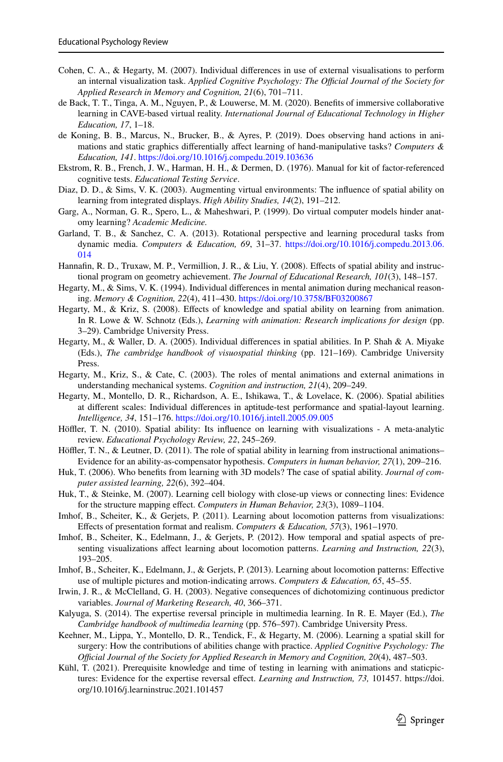- <span id="page-30-3"></span>Cohen, C. A., & Hegarty, M. (2007). Individual diferences in use of external visualisations to perform an internal visualization task. *Applied Cognitive Psychology: The Official Journal of the Society for Applied Research in Memory and Cognition, 21*(6), 701–711.
- <span id="page-30-12"></span>de Back, T. T., Tinga, A. M., Nguyen, P., & Louwerse, M. M. (2020). Benefts of immersive collaborative learning in CAVE-based virtual reality. *International Journal of Educational Technology in Higher Education, 17*, 1–18.
- <span id="page-30-14"></span>de Koning, B. B., Marcus, N., Brucker, B., & Ayres, P. (2019). Does observing hand actions in animations and static graphics diferentially afect learning of hand-manipulative tasks? *Computers & Education, 141*. <https://doi.org/10.1016/j.compedu.2019.103636>
- <span id="page-30-21"></span>Ekstrom, R. B., French, J. W., Harman, H. H., & Dermen, D. (1976). Manual for kit of factor-referenced cognitive tests. *Educational Testing Service*.
- <span id="page-30-9"></span>Diaz, D. D., & Sims, V. K. (2003). Augmenting virtual environments: The infuence of spatial ability on learning from integrated displays. *High Ability Studies, 14*(2), 191–212.
- <span id="page-30-4"></span>Garg, A., Norman, G. R., Spero, L., & Maheshwari, P. (1999). Do virtual computer models hinder anatomy learning? *Academic Medicine.*
- <span id="page-30-17"></span>Garland, T. B., & Sanchez, C. A. (2013). Rotational perspective and learning procedural tasks from dynamic media. *Computers & Education, 69*, 31–37. [https://doi.org/10.1016/j.compedu.2013.06.](https://doi.org/10.1016/j.compedu.2013.06.014) [014](https://doi.org/10.1016/j.compedu.2013.06.014)
- <span id="page-30-7"></span>Hannafn, R. D., Truxaw, M. P., Vermillion, J. R., & Liu, Y. (2008). Efects of spatial ability and instructional program on geometry achievement. *The Journal of Educational Research, 101*(3), 148–157.
- <span id="page-30-19"></span>Hegarty, M., & Sims, V. K. (1994). Individual diferences in mental animation during mechanical reasoning. *Memory & Cognition, 22*(4), 411–430. <https://doi.org/10.3758/BF03200867>
- <span id="page-30-1"></span>Hegarty, M., & Kriz, S. (2008). Efects of knowledge and spatial ability on learning from animation. In R. Lowe & W. Schnotz (Eds.), *Learning with animation: Research implications for design* (pp. 3–29). Cambridge University Press.
- <span id="page-30-0"></span>Hegarty, M., & Waller, D. A. (2005). Individual diferences in spatial abilities. In P. Shah & A. Miyake (Eds.), *The cambridge handbook of visuospatial thinking* (pp. 121–169). Cambridge University Press.
- <span id="page-30-8"></span>Hegarty, M., Kriz, S., & Cate, C. (2003). The roles of mental animations and external animations in understanding mechanical systems. *Cognition and instruction, 21*(4), 209–249.
- <span id="page-30-6"></span>Hegarty, M., Montello, D. R., Richardson, A. E., Ishikawa, T., & Lovelace, K. (2006). Spatial abilities at diferent scales: Individual diferences in aptitude-test performance and spatial-layout learning. *Intelligence, 34*, 151–176.<https://doi.org/10.1016/j.intell.2005.09.005>
- <span id="page-30-2"></span>Höffler, T. N. (2010). Spatial ability: Its influence on learning with visualizations - A meta-analytic review. *Educational Psychology Review, 22*, 245–269.
- <span id="page-30-13"></span>Höffler, T. N., & Leutner, D. (2011). The role of spatial ability in learning from instructional animations– Evidence for an ability-as-compensator hypothesis. *Computers in human behavior, 27*(1), 209–216.
- <span id="page-30-10"></span>Huk, T. (2006). Who benefts from learning with 3D models? The case of spatial ability. *Journal of computer assisted learning, 22*(6), 392–404.
- <span id="page-30-11"></span>Huk, T., & Steinke, M. (2007). Learning cell biology with close-up views or connecting lines: Evidence for the structure mapping efect. *Computers in Human Behavior, 23*(3), 1089–1104.
- <span id="page-30-15"></span>Imhof, B., Scheiter, K., & Gerjets, P. (2011). Learning about locomotion patterns from visualizations: Efects of presentation format and realism. *Computers & Education, 57*(3), 1961–1970.
- <span id="page-30-16"></span>Imhof, B., Scheiter, K., Edelmann, J., & Gerjets, P. (2012). How temporal and spatial aspects of presenting visualizations afect learning about locomotion patterns. *Learning and Instruction, 22*(3), 193–205.
- <span id="page-30-23"></span>Imhof, B., Scheiter, K., Edelmann, J., & Gerjets, P. (2013). Learning about locomotion patterns: Efective use of multiple pictures and motion-indicating arrows. *Computers & Education, 65*, 45–55.
- <span id="page-30-18"></span>Irwin, J. R., & McClelland, G. H. (2003). Negative consequences of dichotomizing continuous predictor variables. *Journal of Marketing Research, 40*, 366–371.
- <span id="page-30-22"></span>Kalyuga, S. (2014). The expertise reversal principle in multimedia learning. In R. E. Mayer (Ed.), *The Cambridge handbook of multimedia learning* (pp. 576–597). Cambridge University Press.
- <span id="page-30-5"></span>Keehner, M., Lippa, Y., Montello, D. R., Tendick, F., & Hegarty, M. (2006). Learning a spatial skill for surgery: How the contributions of abilities change with practice. *Applied Cognitive Psychology: The Ofcial Journal of the Society for Applied Research in Memory and Cognition, 20*(4), 487–503.
- <span id="page-30-20"></span>Kühl, T. (2021). Prerequisite knowledge and time of testing in learning with animations and staticpictures: Evidence for the expertise reversal efect. *Learning and Instruction, 73,* 101457. https://doi. org/10.1016/j.learninstruc.2021.101457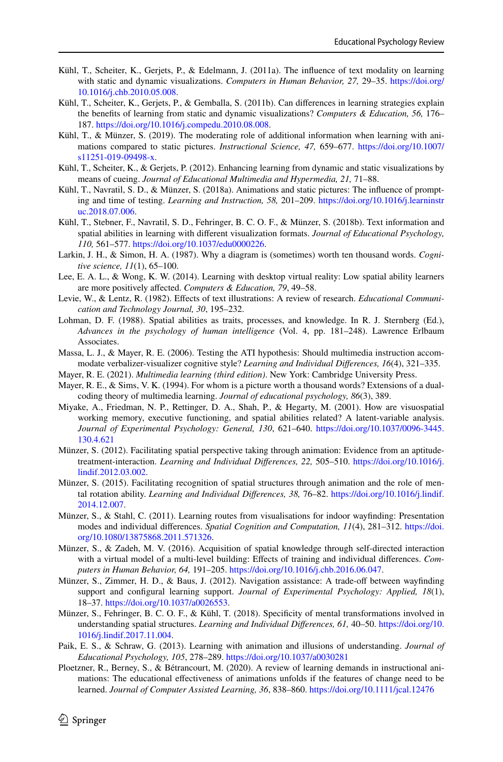- <span id="page-31-16"></span>Kühl, T., Scheiter, K., Gerjets, P., & Edelmann, J. (2011a). The infuence of text modality on learning with static and dynamic visualizations. *Computers in Human Behavior, 27,* 29–35. [https://doi.org/](https://doi.org/10.1016/j.chb.2010.05.008) [10.1016/j.chb.2010.05.008.](https://doi.org/10.1016/j.chb.2010.05.008)
- <span id="page-31-15"></span>Kühl, T., Scheiter, K., Gerjets, P., & Gemballa, S. (2011b). Can diferences in learning strategies explain the benefts of learning from static and dynamic visualizations? *Computers & Education, 56,* 176– 187. [https://doi.org/10.1016/j.compedu.2010.08.008.](https://doi.org/10.1016/j.compedu.2010.08.008)
- <span id="page-31-18"></span>Kühl, T., & Münzer, S. (2019). The moderating role of additional information when learning with animations compared to static pictures. *Instructional Science, 47,* 659–677. [https://doi.org/10.1007/](https://doi.org/10.1007/s11251-019-09498-x) [s11251-019-09498-x](https://doi.org/10.1007/s11251-019-09498-x).
- <span id="page-31-17"></span>Kühl, T., Scheiter, K., & Gerjets, P. (2012). Enhancing learning from dynamic and static visualizations by means of cueing. *Journal of Educational Multimedia and Hypermedia, 21,* 71–88.
- <span id="page-31-3"></span>Kühl, T., Navratil, S. D., & Münzer, S. (2018a). Animations and static pictures: The infuence of prompting and time of testing. *Learning and Instruction, 58,* 201–209. [https://doi.org/10.1016/j.learninstr](https://doi.org/10.1016/j.learninstruc.2018.07.006) [uc.2018.07.006.](https://doi.org/10.1016/j.learninstruc.2018.07.006)
- <span id="page-31-11"></span>Kühl, T., Stebner, F., Navratil, S. D., Fehringer, B. C. O. F., & Münzer, S. (2018b). Text information and spatial abilities in learning with diferent visualization formats. *Journal of Educational Psychology, 110,* 561–577.<https://doi.org/10.1037/edu0000226>.
- <span id="page-31-4"></span>Larkin, J. H., & Simon, H. A. (1987). Why a diagram is (sometimes) worth ten thousand words. *Cognitive science, 11*(1), 65–100.
- <span id="page-31-12"></span>Lee, E. A. L., & Wong, K. W. (2014). Learning with desktop virtual reality: Low spatial ability learners are more positively afected. *Computers & Education, 79*, 49–58.
- <span id="page-31-0"></span>Levie, W., & Lentz, R. (1982). Efects of text illustrations: A review of research. *Educational Communication and Technology Journal, 30*, 195–232.
- <span id="page-31-5"></span>Lohman, D. F. (1988). Spatial abilities as traits, processes, and knowledge. In R. J. Sternberg (Ed.), *Advances in the psychology of human intelligence* (Vol. 4, pp. 181–248). Lawrence Erlbaum Associates.
- <span id="page-31-10"></span>Massa, L. J., & Mayer, R. E. (2006). Testing the ATI hypothesis: Should multimedia instruction accommodate verbalizer-visualizer cognitive style? *Learning and Individual Diferences, 16*(4), 321–335.
- <span id="page-31-1"></span>Mayer, R. E. (2021). *Multimedia learning (third edition)*. New York: Cambridge University Press.
- <span id="page-31-2"></span>Mayer, R. E., & Sims, V. K. (1994). For whom is a picture worth a thousand words? Extensions of a dualcoding theory of multimedia learning. *Journal of educational psychology, 86*(3), 389.
- <span id="page-31-6"></span>Miyake, A., Friedman, N. P., Rettinger, D. A., Shah, P., & Hegarty, M. (2001). How are visuospatial working memory, executive functioning, and spatial abilities related? A latent-variable analysis. *Journal of Experimental Psychology: General, 130*, 621–640. [https://doi.org/10.1037/0096-3445.](https://doi.org/10.1037/0096-3445.130.4.621) [130.4.621](https://doi.org/10.1037/0096-3445.130.4.621)
- <span id="page-31-13"></span>Münzer, S. (2012). Facilitating spatial perspective taking through animation: Evidence from an aptitudetreatment-interaction. *Learning and Individual Diferences, 22,* 505–510. [https://doi.org/10.1016/j.](https://doi.org/10.1016/j.lindif.2012.03.002) [lindif.2012.03.002](https://doi.org/10.1016/j.lindif.2012.03.002).
- <span id="page-31-14"></span>Münzer, S. (2015). Facilitating recognition of spatial structures through animation and the role of mental rotation ability. *Learning and Individual Diferences, 38,* 76–82. [https://doi.org/10.1016/j.lindif.](https://doi.org/10.1016/j.lindif.2014.12.007) [2014.12.007](https://doi.org/10.1016/j.lindif.2014.12.007).
- <span id="page-31-7"></span>Münzer, S., & Stahl, C. (2011). Learning routes from visualisations for indoor wayfnding: Presentation modes and individual diferences. *Spatial Cognition and Computation, 11*(4), 281–312. [https://doi.](https://doi.org/10.1080/13875868.2011.571326) [org/10.1080/13875868.2011.571326](https://doi.org/10.1080/13875868.2011.571326).
- <span id="page-31-8"></span>Münzer, S., & Zadeh, M. V. (2016). Acquisition of spatial knowledge through self-directed interaction with a virtual model of a multi-level building: Efects of training and individual diferences. *Computers in Human Behavior, 64,* 191–205. [https://doi.org/10.1016/j.chb.2016.06.047.](https://doi.org/10.1016/j.chb.2016.06.047)
- <span id="page-31-21"></span>Münzer, S., Zimmer, H. D., & Baus, J. (2012). Navigation assistance: A trade-off between wayfinding support and confgural learning support. *Journal of Experimental Psychology: Applied, 18*(1), 18–37.<https://doi.org/10.1037/a0026553>.
- <span id="page-31-20"></span>Münzer, S., Fehringer, B. C. O. F., & Kühl, T. (2018). Specifcity of mental transformations involved in understanding spatial structures. *Learning and Individual Diferences, 61,* 40–50. [https://doi.org/10.](https://doi.org/10.1016/j.lindif.2017.11.004) [1016/j.lindif.2017.11.004.](https://doi.org/10.1016/j.lindif.2017.11.004)
- <span id="page-31-19"></span>Paik, E. S., & Schraw, G. (2013). Learning with animation and illusions of understanding. *Journal of Educational Psychology, 105*, 278–289. <https://doi.org/10.1037/a0030281>
- <span id="page-31-9"></span>Ploetzner, R., Berney, S., & Bétrancourt, M. (2020). A review of learning demands in instructional animations: The educational efectiveness of animations unfolds if the features of change need to be learned. *Journal of Computer Assisted Learning, 36*, 838–860. <https://doi.org/10.1111/jcal.12476>